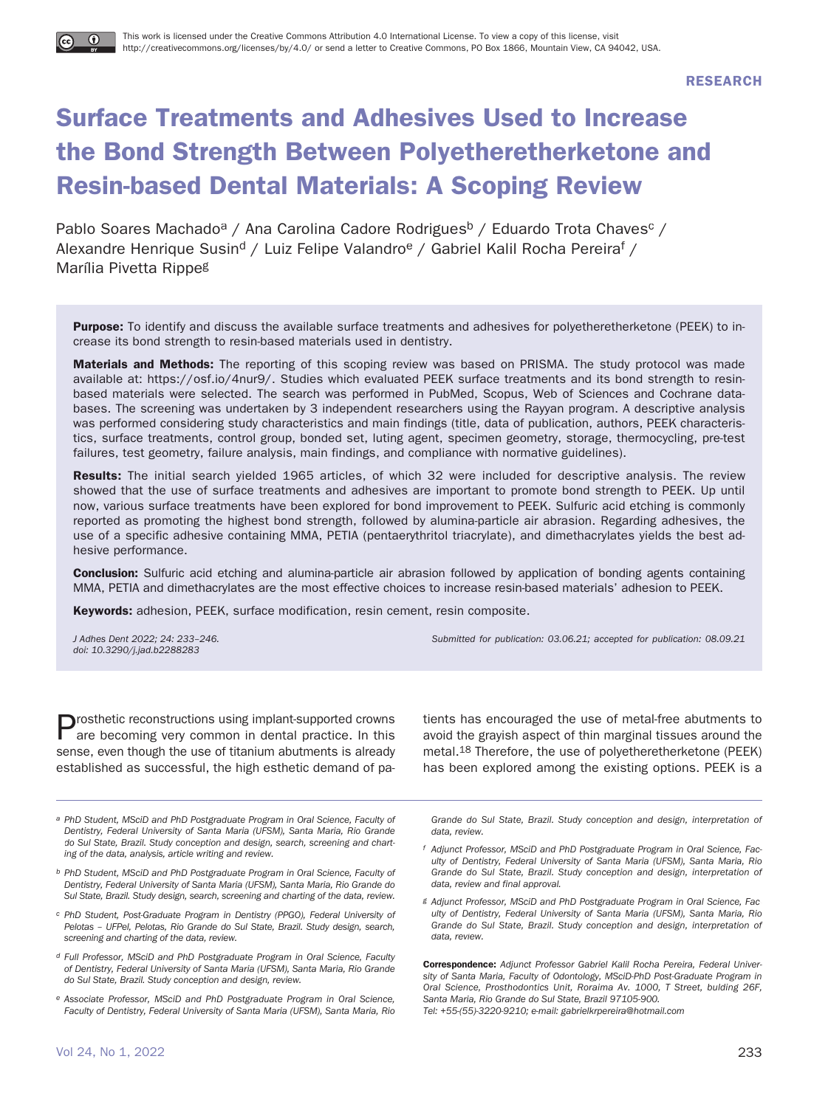# **Surface Treatments and Adhesives Used to Increase the Bond Strength Between Polyetheretherketone and Resin-based Dental Materials: A Scoping Review**

Pablo Soares Machado<sup>a</sup> / Ana Carolina Cadore Rodrigues<sup>b</sup> / Eduardo Trota Chaves<sup>c</sup> / Alexandre Henrique Susin<sup>d</sup> / Luiz Felipe Valandro<sup>e</sup> / Gabriel Kalil Rocha Pereira<sup>f</sup> / Marília Pivetta Rippeg

**Purpose:** To identify and discuss the available surface treatments and adhesives for polyetheretherketone (PEEK) to increase its bond strength to resin-based materials used in dentistry.

**Materials and Methods:** The reporting of this scoping review was based on PRISMA. The study protocol was made available at: https://osf.io/4nur9/. Studies which evaluated PEEK surface treatments and its bond strength to resinbased materials were selected. The search was performed in PubMed, Scopus, Web of Sciences and Cochrane databases. The screening was undertaken by 3 independent researchers using the Rayyan program. A descriptive analysis was performed considering study characteristics and main findings (title, data of publication, authors, PEEK characteristics, surface treatments, control group, bonded set, luting agent, specimen geometry, storage, thermocycling, pre-test failures, test geometry, failure analysis, main findings, and compliance with normative guidelines).

**Results:** The initial search yielded 1965 articles, of which 32 were included for descriptive analysis. The review showed that the use of surface treatments and adhesives are important to promote bond strength to PEEK. Up until now, various surface treatments have been explored for bond improvement to PEEK. Sulfuric acid etching is commonly reported as promoting the highest bond strength, followed by alumina-particle air abrasion. Regarding adhesives, the use of a specific adhesive containing MMA, PETIA (pentaerythritol triacrylate), and dimethacrylates yields the best adhesive performance.

**Conclusion:** Sulfuric acid etching and alumina-particle air abrasion followed by application of bonding agents containing MMA, PETIA and dimethacrylates are the most effective choices to increase resin-based materials' adhesion to PEEK.

**Keywords:** adhesion, PEEK, surface modification, resin cement, resin composite.

doi: 10.3290/j.jad.b2288283

J Adhes Dent 2022; 24: 233–246. Submitted for publication: 03.06.21; accepted for publication: 08.09.21

**D**rosthetic reconstructions using implant-supported crowns are becoming very common in dental practice. In this sense, even though the use of titanium abutments is already established as successful, the high esthetic demand of pa-

a PhD Student, MSciD and PhD Postgraduate Program in Oral Science, Faculty of Dentistry, Federal University of Santa Maria (UFSM), Santa Maria, Rio Grande do Sul State, Brazil. Study conception and design, search, screening and charting of the data, analysis, article writing and review.

b PhD Student, MSciD and PhD Postgraduate Program in Oral Science, Faculty of Dentistry, Federal University of Santa Maria (UFSM), Santa Maria, Rio Grande do Sul State, Brazil. Study design, search, screening and charting of the data, review.

- c PhD Student, Post-Graduate Program in Dentistry (PPGO), Federal University of Pelotas – UFPel, Pelotas, Rio Grande do Sul State, Brazil. Study design, search, screening and charting of the data, review.
- d Full Professor, MSciD and PhD Postgraduate Program in Oral Science, Faculty of Dentistry, Federal University of Santa Maria (UFSM), Santa Maria, Rio Grande do Sul State, Brazil. Study conception and design, review.
- e Associate Professor, MSciD and PhD Postgraduate Program in Oral Science, Faculty of Dentistry, Federal University of Santa Maria (UFSM), Santa Maria, Rio

tients has encouraged the use of metal-free abutments to avoid the grayish aspect of thin marginal tissues around the metal.18 Therefore, the use of polyetheretherketone (PEEK) has been explored among the existing options. PEEK is a

Grande do Sul State, Brazil. Study conception and design, interpretation of data, review.

- f Adjunct Professor, MSciD and PhD Postgraduate Program in Oral Science, Faculty of Dentistry, Federal University of Santa Maria (UFSM), Santa Maria, Rio Grande do Sul State, Brazil. Study conception and design, interpretation of data, review and final approval.
- g Adjunct Professor, MSciD and PhD Postgraduate Program in Oral Science, Faculty of Dentistry, Federal University of Santa Maria (UFSM), Santa Maria, Rio Grande do Sul State, Brazil. Study conception and design, interpretation of data, review.

**Correspondence:** Adjunct Professor Gabriel Kalil Rocha Pereira, Federal University of Santa Maria, Faculty of Odontology, MSciD-PhD Post-Graduate Program in Oral Science, Prosthodontics Unit, Roraima Av. 1000, T Street, bulding 26F, Santa Maria, Rio Grande do Sul State, Brazil 97105-900. Tel: +55-(55)-3220-9210; e-mail: gabrielkrpereira@hotmail.com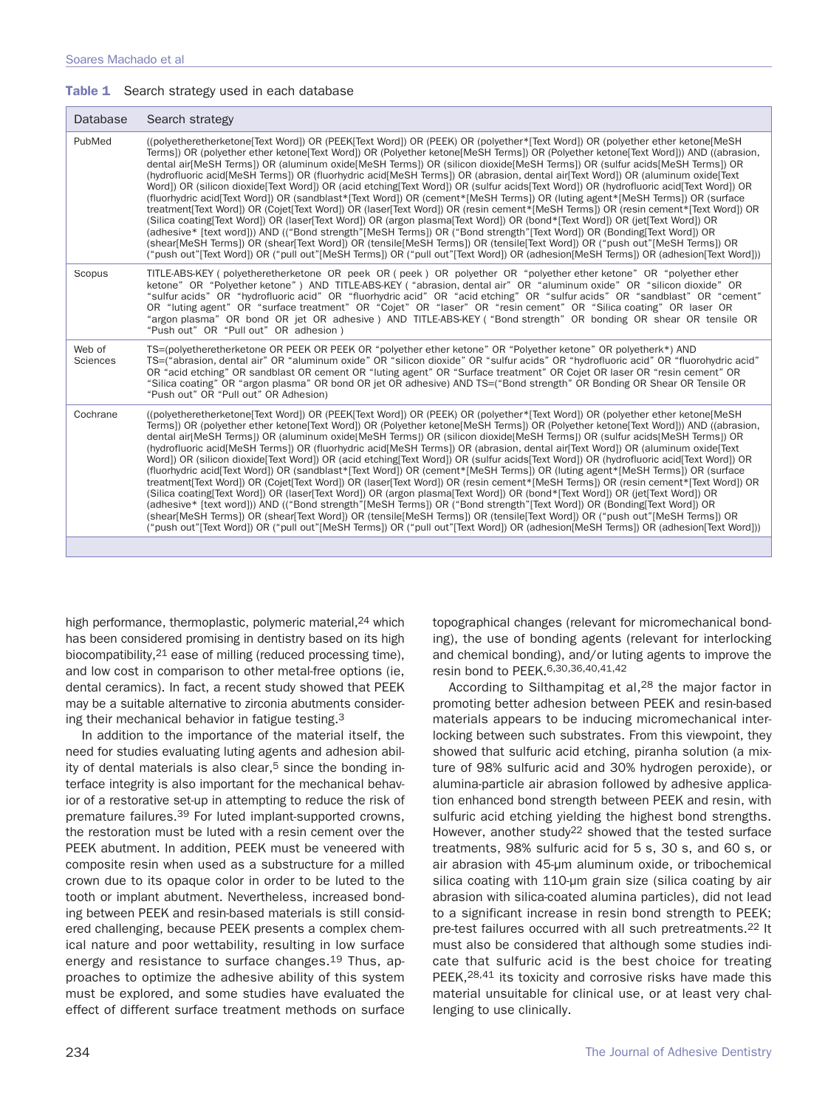|  |  |  |  |  |  | Table 1 Search strategy used in each database |
|--|--|--|--|--|--|-----------------------------------------------|
|--|--|--|--|--|--|-----------------------------------------------|

| Database           | Search strategy                                                                                                                                                                                                                                                                                                                                                                                                                                                                                                                                                                                                                                                                                                                                                                                                                                                                                                                                                                                                                                                                                                                                                                                                                                                                                                                                                                                                                                                                  |
|--------------------|----------------------------------------------------------------------------------------------------------------------------------------------------------------------------------------------------------------------------------------------------------------------------------------------------------------------------------------------------------------------------------------------------------------------------------------------------------------------------------------------------------------------------------------------------------------------------------------------------------------------------------------------------------------------------------------------------------------------------------------------------------------------------------------------------------------------------------------------------------------------------------------------------------------------------------------------------------------------------------------------------------------------------------------------------------------------------------------------------------------------------------------------------------------------------------------------------------------------------------------------------------------------------------------------------------------------------------------------------------------------------------------------------------------------------------------------------------------------------------|
| PubMed             | ((polyetheretherketone[Text Word]) OR (PEEK[Text Word]) OR (PEEK) OR (polyether*[Text Word]) OR (polyether ether ketone[MeSH<br>Terms]) OR (polyether ether ketone[Text Word]) OR (Polyether ketone[MeSH Terms]) OR (Polyether ketone[Text Word])) AND ((abrasion,<br>dental air[MeSH Terms]) OR (aluminum oxide[MeSH Terms]) OR (silicon dioxide[MeSH Terms]) OR (sulfur acids[MeSH Terms]) OR<br>(hydrofluoric acid[MeSH Terms]) OR (fluorhydric acid[MeSH Terms]) OR (abrasion, dental air[Text Word]) OR (aluminum oxide[Text<br>Word]) OR (silicon dioxide[Text Word]) OR (acid etching[Text Word]) OR (sulfur acids[Text Word]) OR (hydrofluoric acid[Text Word]) OR<br>(fluorhydric acid[Text Word]) OR (sandblast*[Text Word]) OR (cement*[MeSH Terms]) OR (luting agent*[MeSH Terms]) OR (surface<br>treatment[Text Word]) OR (Cojet[Text Word]) OR (laser[Text Word]) OR (resin cement*[MeSH Terms]) OR (resin cement*[Text Word]) OR<br>(Silica coating [Text Word]) OR (laser [Text Word]) OR (argon plasma [Text Word]) OR (bond* [Text Word]) OR (jet [Text Word]) OR<br>(adhesive* [text word])) AND (("Bond strength"[MeSH Terms]) OR ("Bond strength"[Text Word]) OR (Bonding[Text Word]) OR<br>(shear[MeSH Terms]) OR (shear[Text Word]) OR (tensile[MeSH Terms]) OR (tensile[Text Word]) OR ("push out"[MeSH Terms]) OR<br>("push out" Text Word]) OR ("pull out" MeSH Terms]) OR ("pull out" Text Word]) OR (adhesion MeSH Terms]) OR (adhesion Text Word])) |
| Scopus             | TITLE-ABS-KEY (polyetheretherketone OR peek OR (peek) OR polyether OR "polyether ether ketone" OR "polyether ether<br>ketone" OR "Polyether ketone") AND TITLE-ABS-KEY ("abrasion, dental air" OR "aluminum oxide" OR "silicon dioxide" OR<br>"sulfur acids" OR "hydrofluoric acid" OR "fluorhydric acid" OR "acid etching" OR "sulfur acids" OR "sandblast" OR "cement"<br>OR "luting agent" OR "surface treatment" OR "Cojet" OR "laser" OR "resin cement" OR "Silica coating" OR laser OR<br>"argon plasma" OR bond OR jet OR adhesive) AND TITLE-ABS-KEY ("Bond strength" OR bonding OR shear OR tensile OR<br>"Push out" OR "Pull out" OR adhesion)                                                                                                                                                                                                                                                                                                                                                                                                                                                                                                                                                                                                                                                                                                                                                                                                                         |
| Web of<br>Sciences | TS=(polyetheretherketone OR PEEK OR PEEK OR "polyether ether ketone" OR "Polyether ketone" OR polyetherk*) AND<br>TS=("abrasion, dental air" OR "aluminum oxide" OR "silicon dioxide" OR "sulfur acids" OR "hydrofluoric acid" OR "fluorohydric acid"<br>OR "acid etching" OR sandblast OR cement OR "luting agent" OR "Surface treatment" OR Cojet OR laser OR "resin cement" OR<br>"Silica coating" OR "argon plasma" OR bond OR jet OR adhesive) AND TS=("Bond strength" OR Bonding OR Shear OR Tensile OR<br>"Push out" OR "Pull out" OR Adhesion)                                                                                                                                                                                                                                                                                                                                                                                                                                                                                                                                                                                                                                                                                                                                                                                                                                                                                                                           |
| Cochrane           | ((polyetheretherketone[Text Word]) OR (PEEK[Text Word]) OR (PEEK) OR (polyether*[Text Word]) OR (polyether ether ketone[MeSH<br>Terms]) OR (polyether ether ketone[Text Word]) OR (Polyether ketone[MeSH Terms]) OR (Polyether ketone[Text Word])) AND ((abrasion,<br>dental air[MeSH Terms]) OR (aluminum oxide[MeSH Terms]) OR (silicon dioxide[MeSH Terms]) OR (sulfur acids[MeSH Terms]) OR<br>(hydrofluoric acid[MeSH Terms]) OR (fluorhydric acid[MeSH Terms]) OR (abrasion, dental air[Text Word]) OR (aluminum oxide[Text<br>Word]) OR (silicon dioxide[Text Word]) OR (acid etching[Text Word]) OR (sulfur acids[Text Word]) OR (hydrofluoric acid[Text Word]) OR<br>(fluorhydric acid[Text Word]) OR (sandblast*[Text Word]) OR (cement*[MeSH Terms]) OR (luting agent*[MeSH Terms]) OR (surface<br>treatment[Text Word]) OR (Cojet[Text Word]) OR (laser[Text Word]) OR (resin cement*[MeSH Terms]) OR (resin cement*[Text Word]) OR<br>(Silica coating [Text Word]) OR (laser [Text Word]) OR (argon plasma [Text Word]) OR (bond* [Text Word]) OR (jet [Text Word]) OR<br>(adhesive* [text word])) AND (("Bond strength"[MeSH Terms]) OR ("Bond strength"[Text Word]) OR (Bonding[Text Word]) OR<br>(shear[MeSH Terms]) OR (shear[Text Word]) OR (tensile[MeSH Terms]) OR (tensile[Text Word]) OR ("push out"[MeSH Terms]) OR<br>("push out"[Text Word]) OR ("pull out"[MeSH Terms]) OR ("pull out"[Text Word]) OR (adhesion[MeSH Terms]) OR (adhesion[Text Word])) |
|                    |                                                                                                                                                                                                                                                                                                                                                                                                                                                                                                                                                                                                                                                                                                                                                                                                                                                                                                                                                                                                                                                                                                                                                                                                                                                                                                                                                                                                                                                                                  |

high performance, thermoplastic, polymeric material, <sup>24</sup> which has been considered promising in dentistry based on its high biocompatibility, <sup>21</sup> ease of milling (reduced processing time), and low cost in comparison to other metal-free options (ie, dental ceramics). In fact, a recent study showed that PEEK may be a suitable alternative to zirconia abutments considering their mechanical behavior in fatigue testing.3

In addition to the importance of the material itself, the need for studies evaluating luting agents and adhesion ability of dental materials is also clear,<sup>5</sup> since the bonding interface integrity is also important for the mechanical behavior of a restorative set-up in attempting to reduce the risk of premature failures.39 For luted implant-supported crowns, the restoration must be luted with a resin cement over the PEEK abutment. In addition, PEEK must be veneered with composite resin when used as a substructure for a milled crown due to its opaque color in order to be luted to the tooth or implant abutment. Nevertheless, increased bonding between PEEK and resin-based materials is still considered challenging, because PEEK presents a complex chemical nature and poor wettability, resulting in low surface energy and resistance to surface changes.<sup>19</sup> Thus, approaches to optimize the adhesive ability of this system must be explored, and some studies have evaluated the effect of different surface treatment methods on surface topographical changes (relevant for micromechanical bonding), the use of bonding agents (relevant for interlocking and chemical bonding), and/or luting agents to improve the resin bond to PEEK.6,30,36,40,41,42

According to Silthampitag et al,<sup>28</sup> the major factor in promoting better adhesion between PEEK and resin-based materials appears to be inducing micromechanical interlocking between such substrates. From this viewpoint, they showed that sulfuric acid etching, piranha solution (a mixture of 98% sulfuric acid and 30% hydrogen peroxide), or alumina-particle air abrasion followed by adhesive application enhanced bond strength between PEEK and resin, with sulfuric acid etching yielding the highest bond strengths. However, another study<sup>22</sup> showed that the tested surface treatments, 98% sulfuric acid for 5 s, 30 s, and 60 s, or air abrasion with 45-μm aluminum oxide, or tribochemical silica coating with 110-μm grain size (silica coating by air abrasion with silica-coated alumina particles), did not lead to a significant increase in resin bond strength to PEEK; pre-test failures occurred with all such pretreatments.22 It must also be considered that although some studies indicate that sulfuric acid is the best choice for treating PEEK, <sup>28, 41</sup> its toxicity and corrosive risks have made this material unsuitable for clinical use, or at least very challenging to use clinically.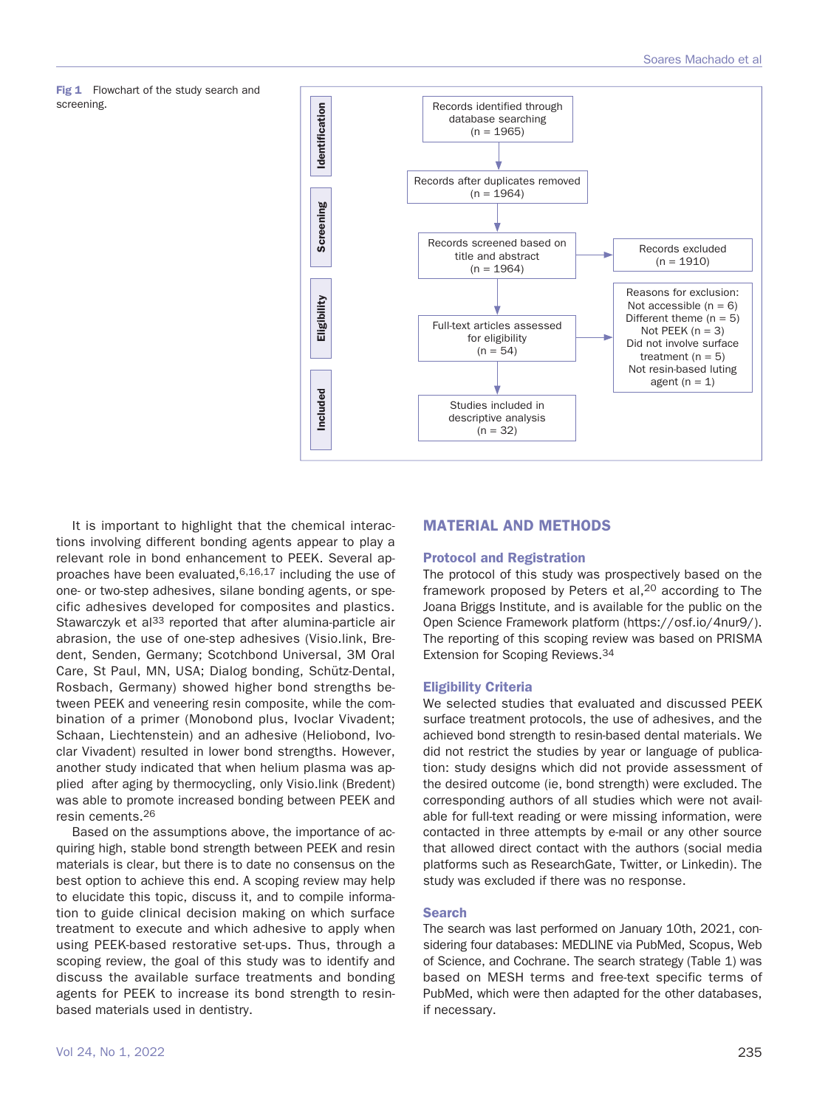



It is important to highlight that the chemical interactions involving different bonding agents appear to play a relevant role in bond enhancement to PEEK. Several approaches have been evaluated,6,16,17 including the use of one- or two-step adhesives, silane bonding agents, or specific adhesives developed for composites and plastics. Stawarczyk et al<sup>33</sup> reported that after alumina-particle air abrasion, the use of one-step adhesives (Visio.link, Bredent, Senden, Germany; Scotchbond Universal, 3M Oral Care, St Paul, MN, USA; Dialog bonding, Schütz-Dental, Rosbach, Germany) showed higher bond strengths between PEEK and veneering resin composite, while the combination of a primer (Monobond plus, Ivoclar Vivadent; Schaan, Liechtenstein) and an adhesive (Heliobond, Ivoclar Vivadent) resulted in lower bond strengths. However, another study indicated that when helium plasma was applied after aging by thermocycling, only Visio.link (Bredent) was able to promote increased bonding between PEEK and resin cements.26

Based on the assumptions above, the importance of acquiring high, stable bond strength between PEEK and resin materials is clear, but there is to date no consensus on the best option to achieve this end. A scoping review may help to elucidate this topic, discuss it, and to compile information to guide clinical decision making on which surface treatment to execute and which adhesive to apply when using PEEK-based restorative set-ups. Thus, through a scoping review, the goal of this study was to identify and discuss the available surface treatments and bonding agents for PEEK to increase its bond strength to resinbased materials used in dentistry.

## **MATERIAL AND METHODS**

#### **Protocol and Registration**

The protocol of this study was prospectively based on the framework proposed by Peters et al,<sup>20</sup> according to The Joana Briggs Institute, and is available for the public on the Open Science Framework platform (https://osf.io/4nur9/). The reporting of this scoping review was based on PRISMA Extension for Scoping Reviews.34

### **Eligibility Criteria**

We selected studies that evaluated and discussed PEEK surface treatment protocols, the use of adhesives, and the achieved bond strength to resin-based dental materials. We did not restrict the studies by year or language of publication: study designs which did not provide assessment of the desired outcome (ie, bond strength) were excluded. The corresponding authors of all studies which were not available for full-text reading or were missing information, were contacted in three attempts by e-mail or any other source that allowed direct contact with the authors (social media platforms such as ResearchGate, Twitter, or Linkedin). The study was excluded if there was no response.

#### **Search**

The search was last performed on January 10th, 2021, considering four databases: MEDLINE via PubMed, Scopus, Web of Science, and Cochrane. The search strategy (Table 1) was based on MESH terms and free-text specific terms of PubMed, which were then adapted for the other databases, if necessary.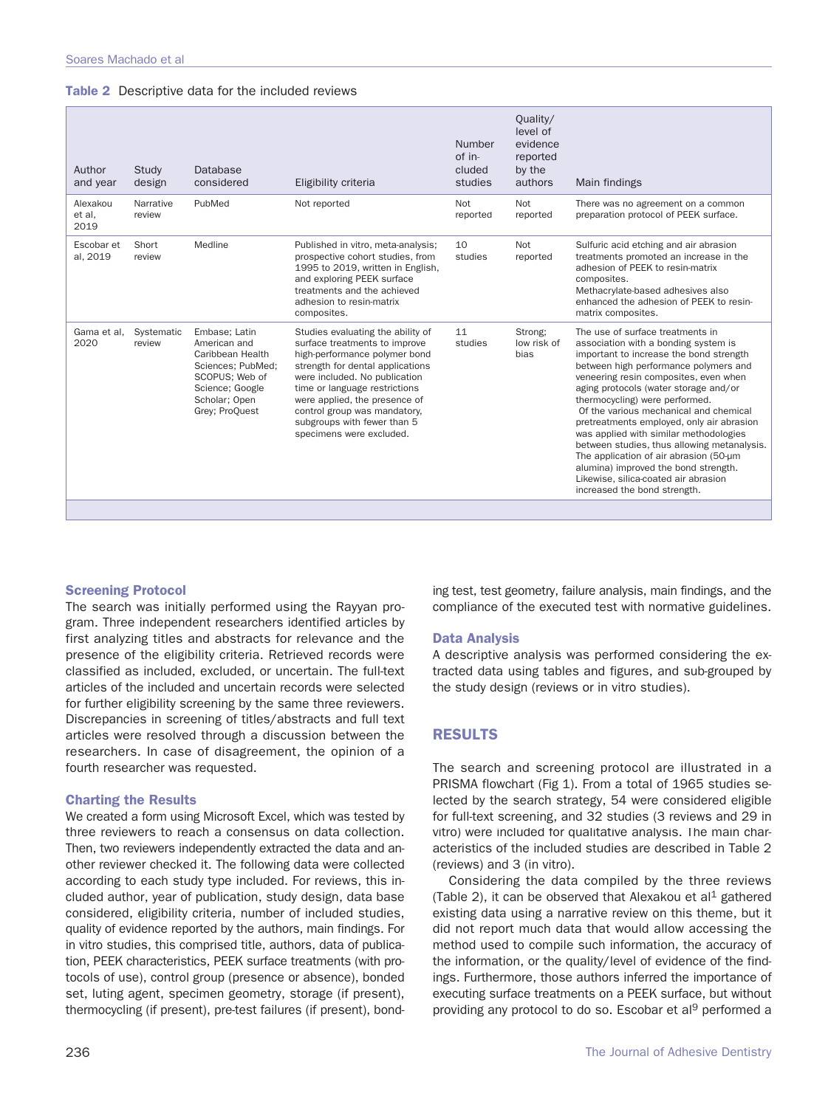|  | Table 2 Descriptive data for the included reviews |  |  |  |
|--|---------------------------------------------------|--|--|--|
|--|---------------------------------------------------|--|--|--|

| Author<br>and year         | Study<br>design      | Database<br>considered                                                                                                                         | Eligibility criteria                                                                                                                                                                                                                                                                                                                  | Number<br>of in-<br>cluded<br>studies | Quality/<br>level of<br>evidence<br>reported<br>by the<br>authors | Main findings                                                                                                                                                                                                                                                                                                                                                                                                                                                                                                                                                                                                              |
|----------------------------|----------------------|------------------------------------------------------------------------------------------------------------------------------------------------|---------------------------------------------------------------------------------------------------------------------------------------------------------------------------------------------------------------------------------------------------------------------------------------------------------------------------------------|---------------------------------------|-------------------------------------------------------------------|----------------------------------------------------------------------------------------------------------------------------------------------------------------------------------------------------------------------------------------------------------------------------------------------------------------------------------------------------------------------------------------------------------------------------------------------------------------------------------------------------------------------------------------------------------------------------------------------------------------------------|
| Alexakou<br>et al,<br>2019 | Narrative<br>review  | PubMed                                                                                                                                         | Not reported                                                                                                                                                                                                                                                                                                                          | Not<br>reported                       | Not<br>reported                                                   | There was no agreement on a common<br>preparation protocol of PEEK surface.                                                                                                                                                                                                                                                                                                                                                                                                                                                                                                                                                |
| Escobar et<br>al, 2019     | Short<br>review      | Medline                                                                                                                                        | Published in vitro, meta-analysis;<br>prospective cohort studies, from<br>1995 to 2019, written in English,<br>and exploring PEEK surface<br>treatments and the achieved<br>adhesion to resin-matrix<br>composites.                                                                                                                   | 10<br>studies                         | Not<br>reported                                                   | Sulfuric acid etching and air abrasion<br>treatments promoted an increase in the<br>adhesion of PEEK to resin-matrix<br>composites.<br>Methacrylate-based adhesives also<br>enhanced the adhesion of PEEK to resin-<br>matrix composites.                                                                                                                                                                                                                                                                                                                                                                                  |
| Gama et al.<br>2020        | Systematic<br>review | Embase; Latin<br>American and<br>Caribbean Health<br>Sciences; PubMed;<br>SCOPUS; Web of<br>Science; Google<br>Scholar: Open<br>Grey: ProQuest | Studies evaluating the ability of<br>surface treatments to improve<br>high-performance polymer bond<br>strength for dental applications<br>were included. No publication<br>time or language restrictions<br>were applied, the presence of<br>control group was mandatory,<br>subgroups with fewer than 5<br>specimens were excluded. | 11<br>studies                         | Strong:<br>low risk of<br>bias                                    | The use of surface treatments in<br>association with a bonding system is<br>important to increase the bond strength<br>between high performance polymers and<br>veneering resin composites, even when<br>aging protocols (water storage and/or<br>thermocycling) were performed.<br>Of the various mechanical and chemical<br>pretreatments employed, only air abrasion<br>was applied with similar methodologies<br>between studies, thus allowing metanalysis.<br>The application of air abrasion (50-µm<br>alumina) improved the bond strength.<br>Likewise, silica-coated air abrasion<br>increased the bond strength. |
|                            |                      |                                                                                                                                                |                                                                                                                                                                                                                                                                                                                                       |                                       |                                                                   |                                                                                                                                                                                                                                                                                                                                                                                                                                                                                                                                                                                                                            |

## **Screening Protocol**

The search was initially performed using the Rayyan program. Three independent researchers identified articles by first analyzing titles and abstracts for relevance and the presence of the eligibility criteria. Retrieved records were classified as included, excluded, or uncertain. The full-text articles of the included and uncertain records were selected for further eligibility screening by the same three reviewers. Discrepancies in screening of titles/abstracts and full text articles were resolved through a discussion between the researchers. In case of disagreement, the opinion of a fourth researcher was requested.

### **Charting the Results**

We created a form using Microsoft Excel, which was tested by three reviewers to reach a consensus on data collection. Then, two reviewers independently extracted the data and another reviewer checked it. The following data were collected according to each study type included. For reviews, this included author, year of publication, study design, data base considered, eligibility criteria, number of included studies, quality of evidence reported by the authors, main findings. For in vitro studies, this comprised title, authors, data of publication, PEEK characteristics, PEEK surface treatments (with protocols of use), control group (presence or absence), bonded set, luting agent, specimen geometry, storage (if present), thermocycling (if present), pre-test failures (if present), bonding test, test geometry, failure analysis, main findings, and the compliance of the executed test with normative guidelines.

## **Data Analysis**

A descriptive analysis was performed considering the extracted data using tables and figures, and sub-grouped by the study design (reviews or in vitro studies).

## **RESULTS**

The search and screening protocol are illustrated in a PRISMA flowchart (Fig 1). From a total of 1965 studies selected by the search strategy, 54 were considered eligible for full-text screening, and 32 studies (3 reviews and 29 in vitro) were included for qualitative analysis. The main characteristics of the included studies are described in Table 2 (reviews) and 3 (in vitro).

Considering the data compiled by the three reviews (Table 2), it can be observed that Alexakou et al<sup>1</sup> gathered existing data using a narrative review on this theme, but it did not report much data that would allow accessing the method used to compile such information, the accuracy of the information, or the quality/level of evidence of the findings. Furthermore, those authors inferred the importance of executing surface treatments on a PEEK surface, but without providing any protocol to do so. Escobar et al<sup>9</sup> performed a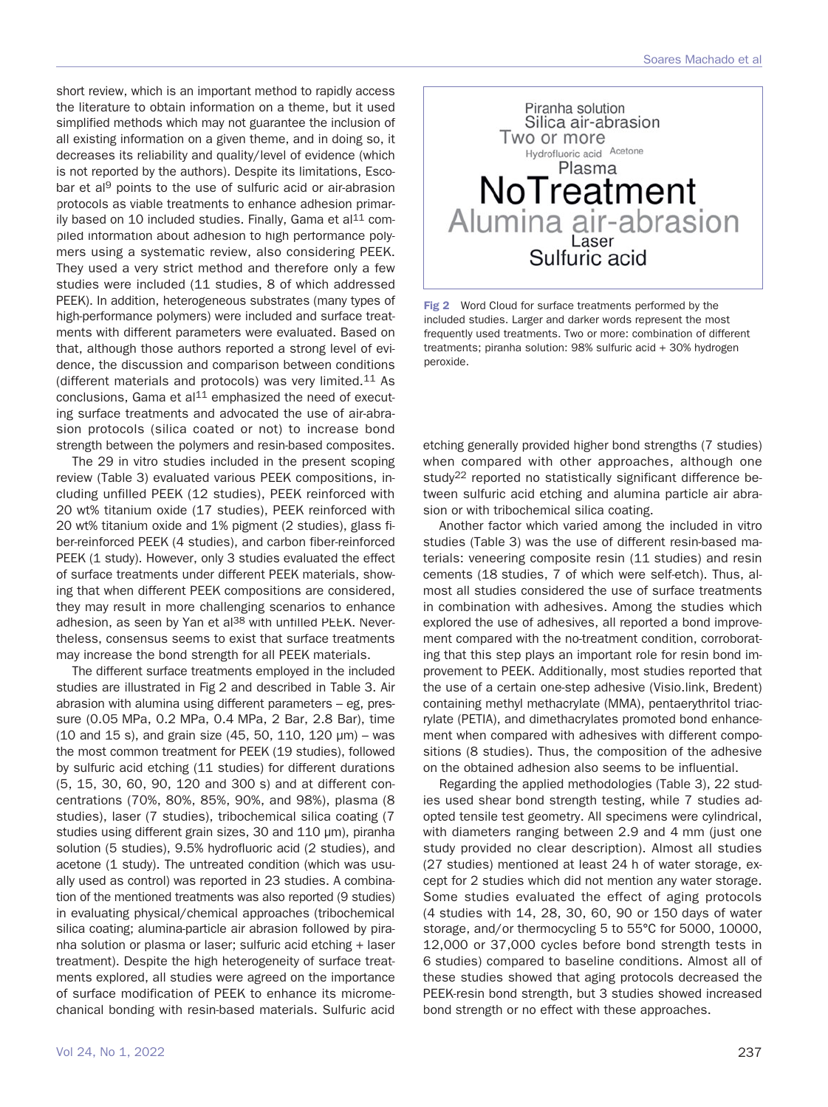short review, which is an important method to rapidly access the literature to obtain information on a theme, but it used simplified methods which may not guarantee the inclusion of all existing information on a given theme, and in doing so, it decreases its reliability and quality/level of evidence (which is not reported by the authors). Despite its limitations, Escobar et al<sup>9</sup> points to the use of sulfuric acid or air-abrasion protocols as viable treatments to enhance adhesion primarily based on 10 included studies. Finally, Gama et al $11$  compiled information about adhesion to high performance polymers using a systematic review, also considering PEEK. They used a very strict method and therefore only a few studies were included (11 studies, 8 of which addressed PEEK). In addition, heterogeneous substrates (many types of high-performance polymers) were included and surface treatments with different parameters were evaluated. Based on that, although those authors reported a strong level of evidence, the discussion and comparison between conditions (different materials and protocols) was very limited.11 As conclusions, Gama et al $11$  emphasized the need of executing surface treatments and advocated the use of air-abrasion protocols (silica coated or not) to increase bond strength between the polymers and resin-based composites.

The 29 in vitro studies included in the present scoping review (Table 3) evaluated various PEEK compositions, including unfilled PEEK (12 studies), PEEK reinforced with 20 wt% titanium oxide (17 studies), PEEK reinforced with 20 wt% titanium oxide and 1% pigment (2 studies), glass fiber-reinforced PEEK (4 studies), and carbon fiber-reinforced PEEK (1 study). However, only 3 studies evaluated the effect of surface treatments under different PEEK materials, showing that when different PEEK compositions are considered, they may result in more challenging scenarios to enhance adhesion, as seen by Yan et al<sup>38</sup> with unfilled PEEK. Nevertheless, consensus seems to exist that surface treatments may increase the bond strength for all PEEK materials.

The different surface treatments employed in the included studies are illustrated in Fig 2 and described in Table 3. Air abrasion with alumina using different parameters – eg, pressure (0.05 MPa, 0.2 MPa, 0.4 MPa, 2 Bar, 2.8 Bar), time (10 and 15 s), and grain size (45, 50, 110, 120 μm) – was the most common treatment for PEEK (19 studies), followed by sulfuric acid etching (11 studies) for different durations (5, 15, 30, 60, 90, 120 and 300 s) and at different concentrations (70%, 80%, 85%, 90%, and 98%), plasma (8 studies), laser (7 studies), tribochemical silica coating (7 studies using different grain sizes, 30 and 110 μm), piranha solution (5 studies), 9.5% hydrofluoric acid (2 studies), and acetone (1 study). The untreated condition (which was usually used as control) was reported in 23 studies. A combination of the mentioned treatments was also reported (9 studies) in evaluating physical/chemical approaches (tribochemical silica coating; alumina-particle air abrasion followed by piranha solution or plasma or laser; sulfuric acid etching + laser treatment). Despite the high heterogeneity of surface treatments explored, all studies were agreed on the importance of surface modification of PEEK to enhance its micromechanical bonding with resin-based materials. Sulfuric acid



**Fig 2** Word Cloud for surface treatments performed by the included studies. Larger and darker words represent the most frequently used treatments. Two or more: combination of different treatments; piranha solution: 98% sulfuric acid + 30% hydrogen peroxide.

etching generally provided higher bond strengths (7 studies) when compared with other approaches, although one study<sup>22</sup> reported no statistically significant difference between sulfuric acid etching and alumina particle air abrasion or with tribochemical silica coating.

Another factor which varied among the included in vitro studies (Table 3) was the use of different resin-based materials: veneering composite resin (11 studies) and resin cements (18 studies, 7 of which were self-etch). Thus, almost all studies considered the use of surface treatments in combination with adhesives. Among the studies which explored the use of adhesives, all reported a bond improvement compared with the no-treatment condition, corroborating that this step plays an important role for resin bond improvement to PEEK. Additionally, most studies reported that the use of a certain one-step adhesive (Visio.link, Bredent) containing methyl methacrylate (MMA), pentaerythritol triacrylate (PETIA), and dimethacrylates promoted bond enhancement when compared with adhesives with different compositions (8 studies). Thus, the composition of the adhesive on the obtained adhesion also seems to be influential.

Regarding the applied methodologies (Table 3), 22 studies used shear bond strength testing, while 7 studies adopted tensile test geometry. All specimens were cylindrical, with diameters ranging between 2.9 and 4 mm (just one study provided no clear description). Almost all studies (27 studies) mentioned at least 24 h of water storage, except for 2 studies which did not mention any water storage. Some studies evaluated the effect of aging protocols (4 studies with 14, 28, 30, 60, 90 or 150 days of water storage, and/or thermocycling 5 to 55°C for 5000, 10000, 12,000 or 37,000 cycles before bond strength tests in 6 studies) compared to baseline conditions. Almost all of these studies showed that aging protocols decreased the PEEK-resin bond strength, but 3 studies showed increased bond strength or no effect with these approaches.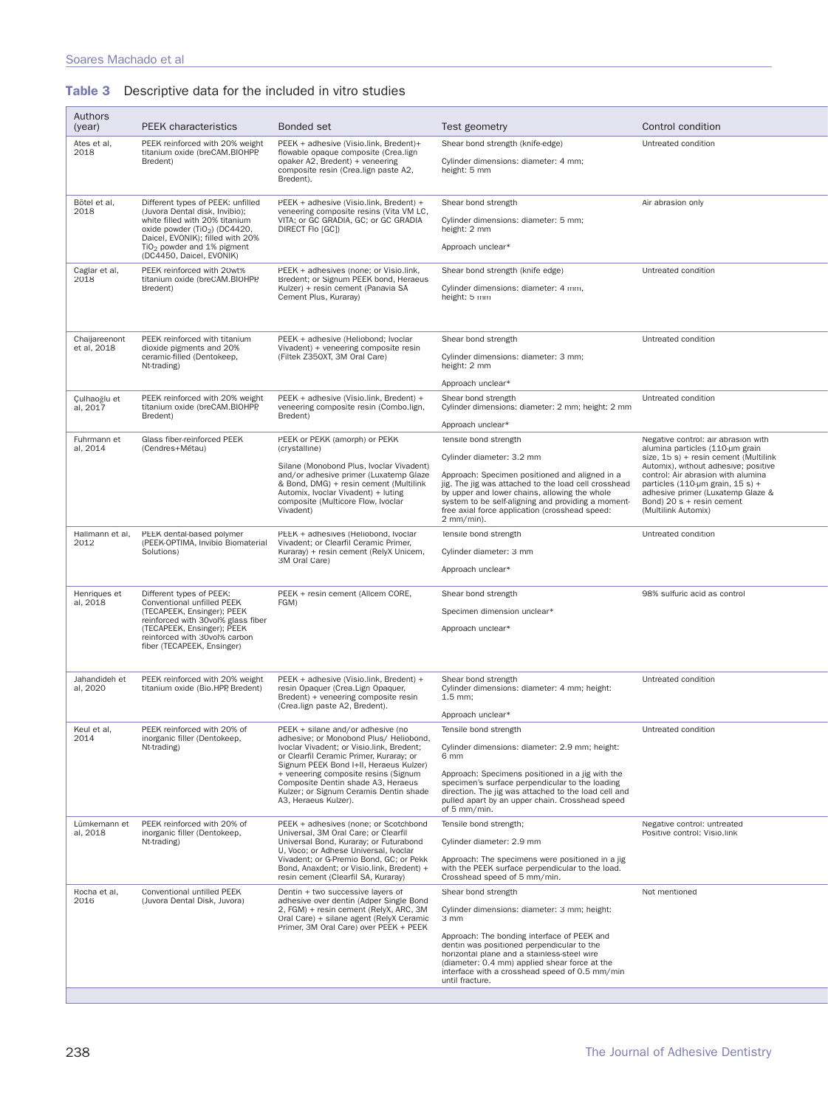|  | <b>Table 3</b> Descriptive data for the included in vitro studies |  |  |  |  |  |  |
|--|-------------------------------------------------------------------|--|--|--|--|--|--|
|--|-------------------------------------------------------------------|--|--|--|--|--|--|

| Authors                      |                                                                                                                                                                                                                                                    |                                                                                                                                                                                                                                                                                                                                                               |                                                                                                                                                                                                                                                                                                                                               |                                                                                                                                                                                                                                                                                                                              |
|------------------------------|----------------------------------------------------------------------------------------------------------------------------------------------------------------------------------------------------------------------------------------------------|---------------------------------------------------------------------------------------------------------------------------------------------------------------------------------------------------------------------------------------------------------------------------------------------------------------------------------------------------------------|-----------------------------------------------------------------------------------------------------------------------------------------------------------------------------------------------------------------------------------------------------------------------------------------------------------------------------------------------|------------------------------------------------------------------------------------------------------------------------------------------------------------------------------------------------------------------------------------------------------------------------------------------------------------------------------|
| (year)                       | <b>PEEK</b> characteristics                                                                                                                                                                                                                        | Bonded set                                                                                                                                                                                                                                                                                                                                                    | Test geometry                                                                                                                                                                                                                                                                                                                                 | Control condition                                                                                                                                                                                                                                                                                                            |
| Ates et al,<br>2018          | PEEK reinforced with 20% weight<br>titanium oxide (breCAM.BIOHPP,<br>Bredent)                                                                                                                                                                      | PEEK + adhesive (Visio.link, Bredent)+<br>flowable opaque composite (Crea.lign<br>opaker A2, Bredent) + veneering<br>composite resin (Crea.lign paste A2,<br>Bredent).                                                                                                                                                                                        | Shear bond strength (knife-edge)<br>Cylinder dimensions: diameter: 4 mm;<br>height: 5 mm                                                                                                                                                                                                                                                      | Untreated condition                                                                                                                                                                                                                                                                                                          |
| Bötel et al,<br>2018         | Different types of PEEK: unfilled<br>(Juvora Dental disk, Invibio);<br>white filled with 20% titanium<br>oxide powder (TiO <sub>2</sub> ) (DC4420,<br>Daicel, EVONIK); filled with 20%<br>$TiO2$ powder and 1% pigment<br>(DC4450, Daicel, EVONIK) | PEEK + adhesive (Visio.link, Bredent) +<br>veneering composite resins (Vita VM LC,<br>VITA; or GC GRADIA, GC; or GC GRADIA<br>DIRECT Flo [GC])                                                                                                                                                                                                                | Shear bond strength<br>Cylinder dimensions: diameter: 5 mm;<br>height: 2 mm<br>Approach unclear*                                                                                                                                                                                                                                              | Air abrasion only                                                                                                                                                                                                                                                                                                            |
| Caglar et al,<br>2018        | PEEK reinforced with 20wt%<br>titanium oxide (breCAM.BIOHPP,<br>Bredent)                                                                                                                                                                           | PEEK + adhesives (none; or Visio.link,<br>Bredent; or Signum PEEK bond, Heraeus<br>Kulzer) + resin cement (Panavia SA<br>Cement Plus, Kuraray)                                                                                                                                                                                                                | Shear bond strength (knife edge)<br>Cylinder dimensions: diameter: 4 mm,<br>height: 5 mm                                                                                                                                                                                                                                                      | Untreated condition                                                                                                                                                                                                                                                                                                          |
| Chaijareenont<br>et al, 2018 | PEEK reinforced with titanium<br>dioxide pigments and 20%<br>ceramic-filled (Dentokeep,<br>Nt-trading)                                                                                                                                             | PEEK + adhesive (Heliobond; Ivoclar<br>Vivadent) + veneering composite resin<br>(Filtek Z350XT, 3M Oral Care)                                                                                                                                                                                                                                                 | Shear bond strength<br>Cylinder dimensions: diameter: 3 mm;<br>height: 2 mm<br>Approach unclear*                                                                                                                                                                                                                                              | Untreated condition                                                                                                                                                                                                                                                                                                          |
| Culhaoğlu et<br>al, 2017     | PEEK reinforced with 20% weight<br>titanium oxide (breCAM.BIOHPP,<br>Bredent)                                                                                                                                                                      | PEEK + adhesive (Visio.link, Bredent) +<br>veneering composite resin (Combo.lign,<br>Bredent)                                                                                                                                                                                                                                                                 | Shear bond strength<br>Cylinder dimensions: diameter: 2 mm; height: 2 mm<br>Approach unclear*                                                                                                                                                                                                                                                 | Untreated condition                                                                                                                                                                                                                                                                                                          |
| Fuhrmann et<br>al, 2014      | Glass fiber-reinforced PEEK<br>(Cendres+Métau)                                                                                                                                                                                                     | PEEK or PEKK (amorph) or PEKK<br>(crystalline)<br>Silane (Monobond Plus, Ivoclar Vivadent)<br>and/or adhesive primer (Luxatemp Glaze<br>& Bond, DMG) + resin cement (Multilink<br>Automix, Ivoclar Vivadent) + luting<br>composite (Multicore Flow, Ivoclar<br>Vivadent)                                                                                      | Tensile bond strength<br>Cylinder diameter: 3.2 mm<br>Approach: Specimen positioned and aligned in a<br>jig. The jig was attached to the load cell crosshead<br>by upper and lower chains, allowing the whole<br>system to be self-aligning and providing a moment-<br>free axial force application (crosshead speed:<br>$2$ mm/min).         | Negative control: air abrasion with<br>alumina particles (110-um grain<br>size, 15 s) + resin cement (Multilink<br>Automix), without adhesive; positive<br>control: Air abrasion with alumina<br>particles (110-um grain, 15 s) +<br>adhesive primer (Luxatemp Glaze &<br>Bond) $20 s +$ resin cement<br>(Multilink Automix) |
| Hallmann et al,<br>2012      | PEEK dental-based polymer<br>(PEEK-OPTIMA, Invibio Biomaterial<br>Solutions)                                                                                                                                                                       | PEEK + adhesives (Heliobond, Ivoclar<br>Vivadent; or Clearfil Ceramic Primer,<br>Kuraray) + resin cement (RelyX Unicem,<br>3M Oral Care)                                                                                                                                                                                                                      | Tensile bond strength<br>Cylinder diameter: 3 mm<br>Approach unclear*                                                                                                                                                                                                                                                                         | Untreated condition                                                                                                                                                                                                                                                                                                          |
| Henriques et<br>al, 2018     | Different types of PEEK:<br>Conventional unfilled PEEK<br>(TECAPEEK, Ensinger); PEEK<br>reinforced with 30vol% glass fiber<br>(TECAPEEK, Ensinger); PEEK<br>reinforced with 30vol% carbon<br>fiber (TECAPEEK, Ensinger)                            | PEEK + resin cement (Allcem CORE,<br>FGM)                                                                                                                                                                                                                                                                                                                     | Shear bond strength<br>Specimen dimension unclear*<br>Approach unclear*                                                                                                                                                                                                                                                                       | 98% sulfuric acid as control                                                                                                                                                                                                                                                                                                 |
| Jahandideh et<br>al, 2020    | PEEK reinforced with 20% weight<br>titanium oxide (Bio.HPP, Bredent)                                                                                                                                                                               | PEEK + adhesive (Visio.link, Bredent) +<br>resin Opaquer (Crea.Lign Opaquer,<br>Bredent) + veneering composite resin<br>(Crea.lign paste A2, Bredent).                                                                                                                                                                                                        | Shear bond strength<br>Cylinder dimensions: diameter: 4 mm; height:<br>$1.5 \, \text{mm}$ ;<br>Approach unclear*                                                                                                                                                                                                                              | Untreated condition                                                                                                                                                                                                                                                                                                          |
| Keul et al.<br>2014          | PEEK reinforced with 20% of<br>inorganic filler (Dentokeep,<br>Nt-trading)                                                                                                                                                                         | PEEK + silane and/or adhesive (no<br>adhesive; or Monobond Plus/ Heliobond,<br>Ivoclar Vivadent; or Visio.link, Bredent;<br>or Clearfil Ceramic Primer, Kuraray; or<br>Signum PEEK Bond I+II, Heraeus Kulzer)<br>+ veneering composite resins (Signum<br>Composite Dentin shade A3, Heraeus<br>Kulzer; or Signum Ceramis Dentin shade<br>A3, Heraeus Kulzer). | Tensile bond strength<br>Cylinder dimensions: diameter: 2.9 mm; height:<br>6 mm<br>Approach: Specimens positioned in a jig with the<br>specimen's surface perpendicular to the loading<br>direction. The jig was attached to the load cell and<br>pulled apart by an upper chain. Crosshead speed<br>of 5 mm/min.                             | Untreated condition                                                                                                                                                                                                                                                                                                          |
| Lümkemann et<br>al. 2018     | PEEK reinforced with 20% of<br>inorganic filler (Dentokeep,<br>Nt-trading)                                                                                                                                                                         | PEEK + adhesives (none; or Scotchbond<br>Universal, 3M Oral Care; or Clearfil<br>Universal Bond, Kuraray; or Futurabond<br>U, Voco; or Adhese Universal, Ivoclar<br>Vivadent; or G-Premio Bond, GC; or Pekk<br>Bond, Anaxdent; or Visio.link, Bredent) +<br>resin cement (Clearfil SA, Kuraray)                                                               | Tensile bond strength;<br>Cylinder diameter: 2.9 mm<br>Approach: The specimens were positioned in a jig<br>with the PEEK surface perpendicular to the load.<br>Crosshead speed of 5 mm/min.                                                                                                                                                   | Negative control: untreated<br>Positive control: Visio.link                                                                                                                                                                                                                                                                  |
| Rocha et al,<br>2016         | Conventional unfilled PEEK<br>(Juvora Dental Disk, Juvora)                                                                                                                                                                                         | Dentin + two successive layers of<br>adhesive over dentin (Adper Single Bond<br>2. FGM) + resin cement (RelvX, ARC, 3M)<br>Oral Care) + silane agent (RelyX Ceramic<br>Primer, 3M Oral Care) over PEEK + PEEK                                                                                                                                                 | Shear bond strength<br>Cylinder dimensions: diameter: 3 mm; height:<br>3 mm<br>Approach: The bonding interface of PEEK and<br>dentin was positioned perpendicular to the<br>horizontal plane and a stainless-steel wire<br>(diameter: 0.4 mm) applied shear force at the<br>interface with a crosshead speed of 0.5 mm/min<br>until fracture. | Not mentioned                                                                                                                                                                                                                                                                                                                |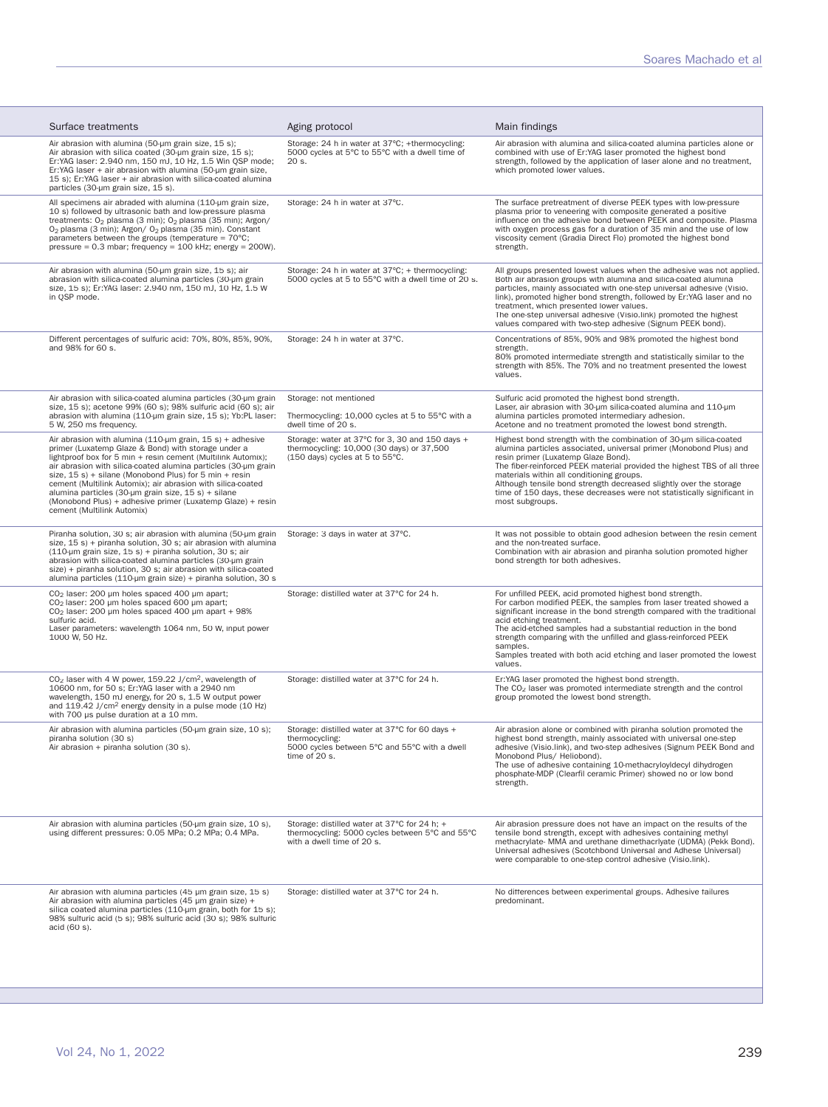| Surface treatments                                                                                                                                                                                                                                                                                                                                                                                                                                                                                                                | Aging protocol                                                                                                                     | Main findings                                                                                                                                                                                                                                                                                                                                                                                                                                                               |
|-----------------------------------------------------------------------------------------------------------------------------------------------------------------------------------------------------------------------------------------------------------------------------------------------------------------------------------------------------------------------------------------------------------------------------------------------------------------------------------------------------------------------------------|------------------------------------------------------------------------------------------------------------------------------------|-----------------------------------------------------------------------------------------------------------------------------------------------------------------------------------------------------------------------------------------------------------------------------------------------------------------------------------------------------------------------------------------------------------------------------------------------------------------------------|
| Air abrasion with alumina (50-um grain size, 15 s);<br>Air abrasion with silica coated (30-um grain size, 15 s);<br>Er:YAG laser: 2.940 nm, 150 mJ, 10 Hz, 1.5 Win OSP mode;<br>Er: YAG laser + air abrasion with alumina (50-µm grain size,<br>15 s); Er:YAG laser + air abrasion with silica-coated alumina<br>particles (30-um grain size, 15 s).                                                                                                                                                                              | Storage: 24 h in water at 37°C; +thermocycling:<br>5000 cycles at 5°C to 55°C with a dwell time of<br>20 s.                        | Air abrasion with alumina and silica-coated alumina particles alone or<br>combined with use of Er:YAG laser promoted the highest bond<br>strength, followed by the application of laser alone and no treatment,<br>which promoted lower values.                                                                                                                                                                                                                             |
| All specimens air abraded with alumina (110-um grain size,<br>10 s) followed by ultrasonic bath and low-pressure plasma<br>treatments: O <sub>2</sub> plasma (3 min); O <sub>2</sub> plasma (35 min); Argon/<br>O <sub>2</sub> plasma (3 min); Argon/ O <sub>2</sub> plasma (35 min). Constant<br>parameters between the groups (temperature = $70^{\circ}$ C;<br>pressure = $0.3$ mbar; frequency = $100$ kHz; energy = $200W$ ).                                                                                                | Storage: 24 h in water at 37°C.                                                                                                    | The surface pretreatment of diverse PEEK types with low-pressure<br>plasma prior to veneering with composite generated a positive<br>influence on the adhesive bond between PEEK and composite. Plasma<br>with oxygen process gas for a duration of 35 min and the use of low<br>viscosity cement (Gradia Direct Flo) promoted the highest bond<br>strength.                                                                                                                |
| Air abrasion with alumina (50-um grain size, 15 s); air<br>abrasion with silica-coated alumina particles (30-um grain<br>size, 15 s); Er:YAG laser: 2.940 nm, 150 mJ, 10 Hz, 1.5 W<br>in QSP mode.                                                                                                                                                                                                                                                                                                                                | Storage: 24 h in water at 37°C; + thermocycling:<br>5000 cycles at 5 to 55°C with a dwell time of 20 s.                            | All groups presented lowest values when the adhesive was not applied.<br>Both air abrasion groups with alumina and silica-coated alumina<br>particles, mainly associated with one-step universal adhesive (Visio.<br>link), promoted higher bond strength, followed by Er:YAG laser and no<br>treatment, which presented lower values.<br>The one-step universal adhesive (Visio.link) promoted the highest<br>values compared with two-step adhesive (Signum PEEK bond).   |
| Different percentages of sulfuric acid: 70%, 80%, 85%, 90%,<br>and 98% for 60 s.                                                                                                                                                                                                                                                                                                                                                                                                                                                  | Storage: 24 h in water at 37°C.                                                                                                    | Concentrations of 85%, 90% and 98% promoted the highest bond<br>strength.<br>80% promoted intermediate strength and statistically similar to the<br>strength with 85%. The 70% and no treatment presented the lowest<br>values.                                                                                                                                                                                                                                             |
| Air abrasion with silica-coated alumina particles (30-um grain<br>size, 15 s); acetone 99% (60 s); 98% sulfuric acid (60 s); air<br>abrasion with alumina (110-um grain size, 15 s); Yb:PL laser:<br>5 W, 250 ms frequency.                                                                                                                                                                                                                                                                                                       | Storage: not mentioned<br>Thermocycling: 10,000 cycles at 5 to 55°C with a<br>dwell time of 20 s.                                  | Sulfuric acid promoted the highest bond strength.<br>Laser, air abrasion with 30-um silica-coated alumina and 110-um<br>alumina particles promoted intermediary adhesion.<br>Acetone and no treatment promoted the lowest bond strength.                                                                                                                                                                                                                                    |
| Air abrasion with alumina (110-µm grain, $15 s$ ) + adhesive<br>primer (Luxatemp Glaze & Bond) with storage under a<br>lightproof box for 5 min + resin cement (Multilink Automix);<br>air abrasion with silica-coated alumina particles (30-µm grain<br>size, 15 s) + silane (Monobond Plus) for 5 min + resin<br>cement (Multilink Automix); air abrasion with silica-coated<br>alumina particles (30-um grain size, 15 s) + silane<br>(Monobond Plus) + adhesive primer (Luxatemp Glaze) + resin<br>cement (Multilink Automix) | Storage: water at 37°C for 3, 30 and 150 days +<br>thermocycling: 10,000 (30 days) or 37,500<br>(150 days) cycles at 5 to 55°C.    | Highest bond strength with the combination of 30-um silica-coated<br>alumina particles associated, universal primer (Monobond Plus) and<br>resin primer (Luxatemp Glaze Bond).<br>The fiber-reinforced PEEK material provided the highest TBS of all three<br>materials within all conditioning groups.<br>Although tensile bond strength decreased slightly over the storage<br>time of 150 days, these decreases were not statistically significant in<br>most subgroups. |
| Piranha solution, 30 s; air abrasion with alumina (50-um grain<br>size, 15 s) + piranha solution, 30 s; air abrasion with alumina<br>$(110 \text{-} \mu \text{m})$ grain size, $15 \text{ s}$ ) + piranha solution, 30 s; air<br>abrasion with silica-coated alumina particles (30-um grain<br>size) + piranha solution, 30 s; air abrasion with silica-coated<br>alumina particles (110-um grain size) + piranha solution, 30 s                                                                                                  | Storage: 3 days in water at 37°C.                                                                                                  | It was not possible to obtain good adhesion between the resin cement<br>and the non-treated surface.<br>Combination with air abrasion and piranha solution promoted higher<br>bond strength for both adhesives.                                                                                                                                                                                                                                                             |
| CO <sub>2</sub> laser: 200 µm holes spaced 400 µm apart;<br>CO <sub>2</sub> laser: 200 µm holes spaced 600 µm apart;<br>$CO2$ laser: 200 µm holes spaced 400 µm apart + 98%<br>sulfuric acid.<br>Laser parameters: wavelength 1064 nm, 50 W, input power<br>1000 W, 50 Hz.                                                                                                                                                                                                                                                        | Storage: distilled water at 37°C for 24 h.                                                                                         | For unfilled PEEK, acid promoted highest bond strength.<br>For carbon modified PEEK, the samples from laser treated showed a<br>significant increase in the bond strength compared with the traditional<br>acid etching treatment.<br>The acid-etched samples had a substantial reduction in the bond<br>strength comparing with the unfilled and glass-reinforced PEEK<br>samples.<br>Samples treated with both acid etching and laser promoted the lowest<br>values.      |
| CO <sub>2</sub> laser with 4 W power, 159.22 J/cm <sup>2</sup> , wavelength of<br>10600 nm, for 50 s; Er:YAG laser with a 2940 nm<br>wavelength, 150 mJ energy, for 20 s, 1.5 W output power<br>and 119.42 J/cm <sup>2</sup> energy density in a pulse mode (10 Hz)<br>with 700 µs pulse duration at a 10 mm.                                                                                                                                                                                                                     | Storage: distilled water at 37°C for 24 h.                                                                                         | Er:YAG laser promoted the highest bond strength.<br>The CO <sub>2</sub> laser was promoted intermediate strength and the control<br>group promoted the lowest bond strength.                                                                                                                                                                                                                                                                                                |
| Air abrasion with alumina particles (50-um grain size, 10 s);<br>piranha solution (30 s)<br>Air abrasion + piranha solution (30 s).                                                                                                                                                                                                                                                                                                                                                                                               | Storage: distilled water at 37°C for 60 days +<br>thermocycling:<br>5000 cycles between 5°C and 55°C with a dwell<br>time of 20 s. | Air abrasion alone or combined with piranha solution promoted the<br>highest bond strength, mainly associated with universal one-step<br>adhesive (Visio.link), and two-step adhesives (Signum PEEK Bond and<br>Monobond Plus/ Heliobond).<br>The use of adhesive containing 10-methacryloyIdecyl dihydrogen<br>phosphate-MDP (Clearfil ceramic Primer) showed no or low bond<br>strength.                                                                                  |
| Air abrasion with alumina particles (50-um grain size, 10 s),<br>using different pressures: 0.05 MPa; 0.2 MPa; 0.4 MPa.                                                                                                                                                                                                                                                                                                                                                                                                           | Storage: distilled water at 37°C for 24 h; +<br>thermocycling: 5000 cycles between 5°C and 55°C<br>with a dwell time of 20 s.      | Air abrasion pressure does not have an impact on the results of the<br>tensile bond strength, except with adhesives containing methyl<br>methacrylate- MMA and urethane dimethacriyate (UDMA) (Pekk Bond).<br>Universal adhesives (Scotchbond Universal and Adhese Universal)<br>were comparable to one-step control adhesive (Visio.link).                                                                                                                                 |
| Air abrasion with alumina particles (45 µm grain size, 15 s)<br>Air abrasion with alumina particles (45 $\mu$ m grain size) +<br>silica coated alumina particles (110-um grain, both for 15 s);<br>98% sulfuric acid (5 s); 98% sulfuric acid (30 s); 98% sulfuric<br>acid (60 s).                                                                                                                                                                                                                                                | Storage: distilled water at 37°C for 24 h.                                                                                         | No differences between experimental groups. Adhesive failures<br>predominant.                                                                                                                                                                                                                                                                                                                                                                                               |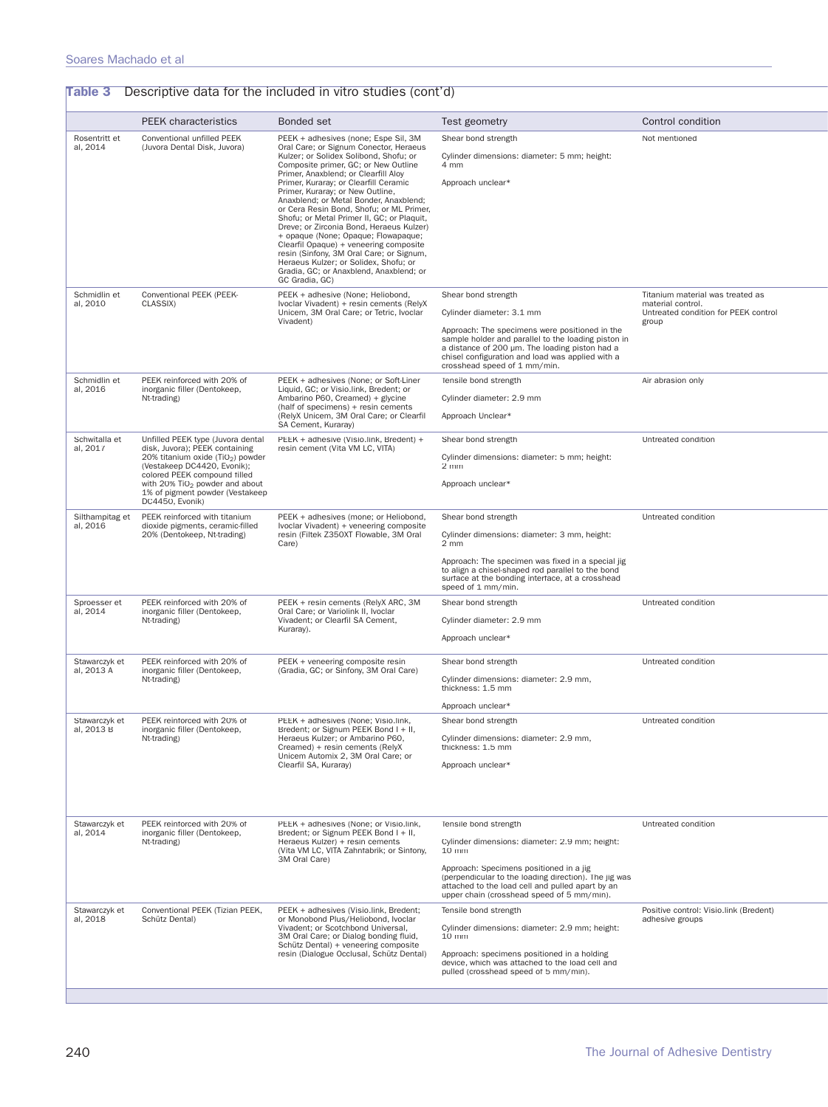| Rosentritt et<br>al, 2014<br>Schmidlin et<br>al, 2010 | <b>PEEK</b> characteristics<br>Conventional unfilled PEEK<br>(Juvora Dental Disk, Juvora)<br>Conventional PEEK (PEEK-<br>CLASSIX)         | <b>Bonded set</b><br>PEEK + adhesives (none; Espe Sil, 3M<br>Oral Care; or Signum Conector, Heraeus<br>Kulzer; or Solidex Solibond, Shofu; or<br>Composite primer, GC; or New Outline<br>Primer, Anaxblend; or Clearfill Aloy<br>Primer, Kuraray; or Clearfill Ceramic<br>Primer, Kuraray; or New Outline,<br>Anaxblend; or Metal Bonder, Anaxblend;<br>or Cera Resin Bond, Shofu; or ML Primer,<br>Shofu; or Metal Primer II, GC; or Plaquit,<br>Dreve; or Zirconia Bond, Heraeus Kulzer)<br>+ opaque (None; Opaque; Flowapaque;<br>Clearfil Opaque) + veneering composite<br>resin (Sinfony, 3M Oral Care; or Signum,<br>Heraeus Kulzer; or Solidex, Shofu; or<br>Gradia, GC; or Anaxblend, Anaxblend; or<br>GC Gradia, GC) | Test geometry<br>Shear bond strength<br>Cylinder dimensions: diameter: 5 mm; height:<br>4 mm<br>Approach unclear*                                                                                  | Control condition<br>Not mentioned                                                            |
|-------------------------------------------------------|-------------------------------------------------------------------------------------------------------------------------------------------|-------------------------------------------------------------------------------------------------------------------------------------------------------------------------------------------------------------------------------------------------------------------------------------------------------------------------------------------------------------------------------------------------------------------------------------------------------------------------------------------------------------------------------------------------------------------------------------------------------------------------------------------------------------------------------------------------------------------------------|----------------------------------------------------------------------------------------------------------------------------------------------------------------------------------------------------|-----------------------------------------------------------------------------------------------|
|                                                       |                                                                                                                                           |                                                                                                                                                                                                                                                                                                                                                                                                                                                                                                                                                                                                                                                                                                                               |                                                                                                                                                                                                    |                                                                                               |
|                                                       |                                                                                                                                           |                                                                                                                                                                                                                                                                                                                                                                                                                                                                                                                                                                                                                                                                                                                               |                                                                                                                                                                                                    |                                                                                               |
|                                                       |                                                                                                                                           |                                                                                                                                                                                                                                                                                                                                                                                                                                                                                                                                                                                                                                                                                                                               |                                                                                                                                                                                                    |                                                                                               |
|                                                       |                                                                                                                                           |                                                                                                                                                                                                                                                                                                                                                                                                                                                                                                                                                                                                                                                                                                                               |                                                                                                                                                                                                    |                                                                                               |
|                                                       |                                                                                                                                           | PEEK + adhesive (None; Heliobond,<br>Ivoclar Vivadent) + resin cements (RelyX<br>Unicem, 3M Oral Care; or Tetric, Ivoclar                                                                                                                                                                                                                                                                                                                                                                                                                                                                                                                                                                                                     | Shear bond strength<br>Cylinder diameter: 3.1 mm                                                                                                                                                   | Titanium material was treated as<br>material control.<br>Untreated condition for PEEK control |
|                                                       |                                                                                                                                           | Vivadent)                                                                                                                                                                                                                                                                                                                                                                                                                                                                                                                                                                                                                                                                                                                     | Approach: The specimens were positioned in the                                                                                                                                                     | group                                                                                         |
|                                                       |                                                                                                                                           |                                                                                                                                                                                                                                                                                                                                                                                                                                                                                                                                                                                                                                                                                                                               | sample holder and parallel to the loading piston in<br>a distance of 200 µm. The loading piston had a<br>chisel configuration and load was applied with a<br>crosshead speed of 1 mm/min.          |                                                                                               |
| Schmidlin et<br>al, 2016                              | PEEK reinforced with 20% of<br>inorganic filler (Dentokeep,                                                                               | PEEK + adhesives (None; or Soft-Liner<br>Liquid, GC; or Visio.link, Bredent; or                                                                                                                                                                                                                                                                                                                                                                                                                                                                                                                                                                                                                                               | Tensile bond strength                                                                                                                                                                              | Air abrasion only                                                                             |
|                                                       | Nt-trading)                                                                                                                               | Ambarino P60, Creamed) + glycine<br>(half of specimens) + resin cements                                                                                                                                                                                                                                                                                                                                                                                                                                                                                                                                                                                                                                                       | Cylinder diameter: 2.9 mm                                                                                                                                                                          |                                                                                               |
|                                                       |                                                                                                                                           | (RelyX Unicem, 3M Oral Care; or Clearfil<br>SA Cement, Kuraray)                                                                                                                                                                                                                                                                                                                                                                                                                                                                                                                                                                                                                                                               | Approach Unclear*                                                                                                                                                                                  |                                                                                               |
| Schwitalla et<br>al. 2017                             | Unfilled PEEK type (Juvora dental<br>disk, Juvora); PEEK containing                                                                       | PEEK + adhesive (Visio.link, Bredent) +<br>resin cement (Vita VM LC, VITA)                                                                                                                                                                                                                                                                                                                                                                                                                                                                                                                                                                                                                                                    | Shear bond strength                                                                                                                                                                                | Untreated condition                                                                           |
|                                                       | 20% titanium oxide (TiO <sub>2</sub> ) powder<br>(Vestakeep DC4420, Evonik);                                                              |                                                                                                                                                                                                                                                                                                                                                                                                                                                                                                                                                                                                                                                                                                                               | Cylinder dimensions: diameter: 5 mm; height:<br>$2 \, \text{mm}$                                                                                                                                   |                                                                                               |
|                                                       | colored PEEK compound filled<br>with 20% TiO <sub>2</sub> powder and about<br>1% of pigment powder (Vestakeep<br>DC4450, Evonik)          |                                                                                                                                                                                                                                                                                                                                                                                                                                                                                                                                                                                                                                                                                                                               | Approach unclear*                                                                                                                                                                                  |                                                                                               |
| Silthampitag et<br>al, 2016                           | PEEK reinforced with titanium<br>dioxide pigments, ceramic-filled<br>20% (Dentokeep, Nt-trading)                                          | PEEK + adhesives (mone; or Heliobond,<br>Ivoclar Vivadent) + veneering composite<br>resin (Filtek Z350XT Flowable, 3M Oral<br>Care)                                                                                                                                                                                                                                                                                                                                                                                                                                                                                                                                                                                           | Shear bond strength                                                                                                                                                                                | Untreated condition                                                                           |
|                                                       |                                                                                                                                           |                                                                                                                                                                                                                                                                                                                                                                                                                                                                                                                                                                                                                                                                                                                               | Cylinder dimensions: diameter: 3 mm, height:<br>2 mm                                                                                                                                               |                                                                                               |
|                                                       |                                                                                                                                           |                                                                                                                                                                                                                                                                                                                                                                                                                                                                                                                                                                                                                                                                                                                               | Approach: The specimen was fixed in a special jig<br>to align a chisel-shaped rod parallel to the bond<br>surface at the bonding interface, at a crosshead<br>speed of 1 mm/min.                   |                                                                                               |
| Sproesser et<br>al, 2014                              | PEEK reinforced with 20% of<br>PEEK + resin cements (RelyX ARC, 3M<br>Oral Care; or Variolink II, Ivoclar<br>inorganic filler (Dentokeep, |                                                                                                                                                                                                                                                                                                                                                                                                                                                                                                                                                                                                                                                                                                                               | Shear bond strength                                                                                                                                                                                | Untreated condition                                                                           |
|                                                       | Nt-trading)                                                                                                                               | Vivadent; or Clearfil SA Cement,<br>Kuraray).                                                                                                                                                                                                                                                                                                                                                                                                                                                                                                                                                                                                                                                                                 | Cylinder diameter: 2.9 mm                                                                                                                                                                          |                                                                                               |
|                                                       |                                                                                                                                           |                                                                                                                                                                                                                                                                                                                                                                                                                                                                                                                                                                                                                                                                                                                               | Approach unclear*                                                                                                                                                                                  |                                                                                               |
| Stawarczyk et<br>al, 2013 A                           | PEEK reinforced with 20% of<br>inorganic filler (Dentokeep,                                                                               | PEEK + veneering composite resin<br>(Gradia, GC; or Sinfony, 3M Oral Care)                                                                                                                                                                                                                                                                                                                                                                                                                                                                                                                                                                                                                                                    | Shear bond strength                                                                                                                                                                                | Untreated condition                                                                           |
|                                                       | Nt-trading)                                                                                                                               |                                                                                                                                                                                                                                                                                                                                                                                                                                                                                                                                                                                                                                                                                                                               | Cylinder dimensions: diameter: 2.9 mm,<br>thickness: 1.5 mm                                                                                                                                        |                                                                                               |
|                                                       |                                                                                                                                           |                                                                                                                                                                                                                                                                                                                                                                                                                                                                                                                                                                                                                                                                                                                               | Approach unclear*                                                                                                                                                                                  |                                                                                               |
| Stawarczyk et<br>al, 2013 B                           | PEEK reinforced with 20% of<br>inorganic filler (Dentokeep,                                                                               | PEEK + adhesives (None; Visio.link,<br>Bredent; or Signum PEEK Bond I + II,                                                                                                                                                                                                                                                                                                                                                                                                                                                                                                                                                                                                                                                   | Shear bond strength                                                                                                                                                                                | Untreated condition                                                                           |
|                                                       | Nt-trading)                                                                                                                               | Heraeus Kulzer; or Ambarino P60,<br>Creamed) + resin cements (RelyX<br>Unicem Automix 2, 3M Oral Care; or                                                                                                                                                                                                                                                                                                                                                                                                                                                                                                                                                                                                                     | Cylinder dimensions: diameter: 2.9 mm,<br>thickness: 1.5 mm                                                                                                                                        |                                                                                               |
|                                                       |                                                                                                                                           | Clearfil SA, Kuraray)                                                                                                                                                                                                                                                                                                                                                                                                                                                                                                                                                                                                                                                                                                         | Approach unclear*                                                                                                                                                                                  |                                                                                               |
|                                                       |                                                                                                                                           |                                                                                                                                                                                                                                                                                                                                                                                                                                                                                                                                                                                                                                                                                                                               |                                                                                                                                                                                                    |                                                                                               |
| Stawarczyk et<br>al, 2014                             | PEEK reinforced with 20% of<br>inorganic filler (Dentokeep,                                                                               | PEEK + adhesives (None; or Visio.link,<br>Bredent; or Signum PEEK Bond I + II,                                                                                                                                                                                                                                                                                                                                                                                                                                                                                                                                                                                                                                                | Tensile bond strength                                                                                                                                                                              | Untreated condition                                                                           |
|                                                       | Nt-trading)                                                                                                                               | Heraeus Kulzer) + resin cements<br>(Vita VM LC, VITA Zahnfabrik; or Sinfony,                                                                                                                                                                                                                                                                                                                                                                                                                                                                                                                                                                                                                                                  | Cylinder dimensions: diameter: 2.9 mm; height:<br>10 mm                                                                                                                                            |                                                                                               |
|                                                       |                                                                                                                                           | 3M Oral Care)                                                                                                                                                                                                                                                                                                                                                                                                                                                                                                                                                                                                                                                                                                                 | Approach: Specimens positioned in a jig<br>(perpendicular to the loading direction). The jig was<br>attached to the load cell and pulled apart by an<br>upper chain (crosshead speed of 5 mm/min). |                                                                                               |
| Stawarczyk et<br>al, 2018                             | Conventional PEEK (Tizian PEEK,<br>Schütz Dental)                                                                                         | PEEK + adhesives (Visio.link, Bredent;<br>or Monobond Plus/Heliobond, Ivoclar                                                                                                                                                                                                                                                                                                                                                                                                                                                                                                                                                                                                                                                 | Tensile bond strength                                                                                                                                                                              | Positive control: Visio.link (Bredent)<br>adhesive groups                                     |
|                                                       |                                                                                                                                           | Vivadent; or Scotchbond Universal,<br>3M Oral Care; or Dialog bonding fluid,<br>Schütz Dental) + veneering composite                                                                                                                                                                                                                                                                                                                                                                                                                                                                                                                                                                                                          | Cylinder dimensions: diameter: 2.9 mm; height:<br>10 mm                                                                                                                                            |                                                                                               |
|                                                       |                                                                                                                                           | resin (Dialogue Occlusal, Schütz Dental)                                                                                                                                                                                                                                                                                                                                                                                                                                                                                                                                                                                                                                                                                      | Approach: specimens positioned in a holding<br>device, which was attached to the load cell and<br>pulled (crosshead speed of 5 mm/min).                                                            |                                                                                               |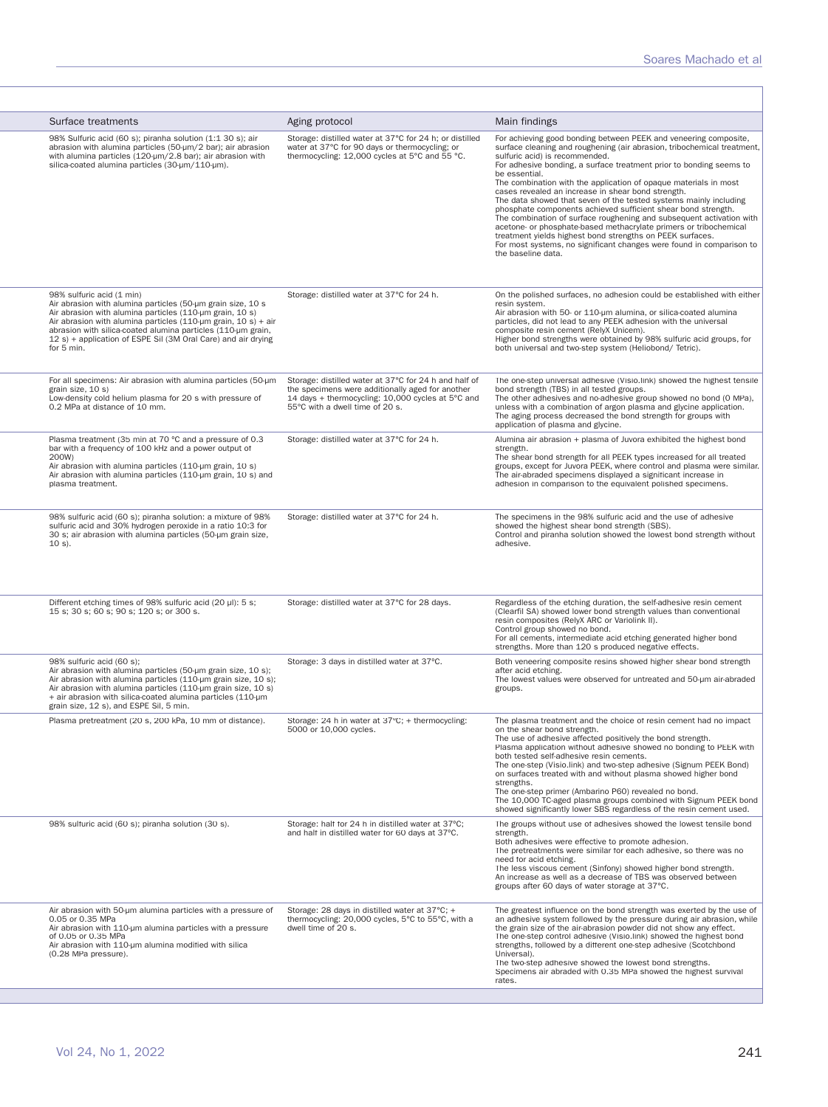| Surface treatments                                                                                                                                                                                                                                                                                                                                                    | Aging protocol                                                                                                                                                                                    | Main findings                                                                                                                                                                                                                                                                                                                                                                                                                                                                                                                                                                                                                                                                                                                                                                                                                                 |
|-----------------------------------------------------------------------------------------------------------------------------------------------------------------------------------------------------------------------------------------------------------------------------------------------------------------------------------------------------------------------|---------------------------------------------------------------------------------------------------------------------------------------------------------------------------------------------------|-----------------------------------------------------------------------------------------------------------------------------------------------------------------------------------------------------------------------------------------------------------------------------------------------------------------------------------------------------------------------------------------------------------------------------------------------------------------------------------------------------------------------------------------------------------------------------------------------------------------------------------------------------------------------------------------------------------------------------------------------------------------------------------------------------------------------------------------------|
| 98% Sulfuric acid (60 s); piranha solution (1:1 30 s); air<br>abrasion with alumina particles (50-µm/2 bar); air abrasion<br>with alumina particles (120-um/2.8 bar); air abrasion with<br>silica-coated alumina particles (30-µm/110-µm).                                                                                                                            | Storage: distilled water at 37°C for 24 h; or distilled<br>water at 37°C for 90 days or thermocycling; or<br>thermocycling: 12,000 cycles at 5°C and 55 °C.                                       | For achieving good bonding between PEEK and veneering composite,<br>surface cleaning and roughening (air abrasion, tribochemical treatment,<br>sulfuric acid) is recommended.<br>For adhesive bonding, a surface treatment prior to bonding seems to<br>be essential.<br>The combination with the application of opaque materials in most<br>cases revealed an increase in shear bond strength.<br>The data showed that seven of the tested systems mainly including<br>phosphate components achieved sufficient shear bond strength.<br>The combination of surface roughening and subsequent activation with<br>acetone- or phosphate-based methacrylate primers or tribochemical<br>treatment yields highest bond strengths on PEEK surfaces.<br>For most systems, no significant changes were found in comparison to<br>the baseline data. |
| 98% sulfuric acid (1 min)<br>Air abrasion with alumina particles (50-um grain size, 10 s<br>Air abrasion with alumina particles (110-um grain, 10 s)<br>Air abrasion with alumina particles (110-um grain, 10 s) + air<br>abrasion with silica-coated alumina particles (110-um grain,<br>12 s) + application of ESPE Sil (3M Oral Care) and air drying<br>for 5 min. | Storage: distilled water at 37°C for 24 h.                                                                                                                                                        | On the polished surfaces, no adhesion could be established with either<br>resin system.<br>Air abrasion with 50- or 110-um alumina, or silica-coated alumina<br>particles, did not lead to any PEEK adhesion with the universal<br>composite resin cement (RelyX Unicem).<br>Higher bond strengths were obtained by 98% sulfuric acid groups, for<br>both universal and two-step system (Heliobond/ Tetric).                                                                                                                                                                                                                                                                                                                                                                                                                                  |
| For all specimens: Air abrasion with alumina particles (50-µm<br>grain size, 10 s)<br>Low-density cold helium plasma for 20 s with pressure of<br>0.2 MPa at distance of 10 mm.                                                                                                                                                                                       | Storage: distilled water at 37°C for 24 h and half of<br>the specimens were additionally aged for another<br>14 days + thermocycling: 10,000 cycles at 5°C and<br>55°C with a dwell time of 20 s. | The one-step universal adhesive (Visio.link) showed the highest tensile<br>bond strength (TBS) in all tested groups.<br>The other adhesives and no-adhesive group showed no bond (0 MPa),<br>unless with a combination of argon plasma and glycine application.<br>The aging process decreased the bond strength for groups with<br>application of plasma and glycine.                                                                                                                                                                                                                                                                                                                                                                                                                                                                        |
| Plasma treatment (35 min at 70 °C and a pressure of 0.3<br>bar with a frequency of 100 kHz and a power output of<br>200W)<br>Air abrasion with alumina particles (110-um grain, 10 s)<br>Air abrasion with alumina particles (110-um grain, 10 s) and<br>plasma treatment.                                                                                            | Storage: distilled water at 37°C for 24 h.                                                                                                                                                        | Alumina air abrasion + plasma of Juvora exhibited the highest bond<br>strength.<br>The shear bond strength for all PEEK types increased for all treated<br>groups, except for Juvora PEEK, where control and plasma were similar.<br>The air-abraded specimens displayed a significant increase in<br>adhesion in comparison to the equivalent polished specimens.                                                                                                                                                                                                                                                                                                                                                                                                                                                                            |
| 98% sulfuric acid (60 s); piranha solution: a mixture of 98%<br>sulfuric acid and 30% hydrogen peroxide in a ratio 10:3 for<br>30 s; air abrasion with alumina particles (50-µm grain size,<br>$10 s$ .                                                                                                                                                               | Storage: distilled water at 37°C for 24 h.                                                                                                                                                        | The specimens in the 98% sulfuric acid and the use of adhesive<br>showed the highest shear bond strength (SBS).<br>Control and piranha solution showed the lowest bond strength without<br>adhesive.                                                                                                                                                                                                                                                                                                                                                                                                                                                                                                                                                                                                                                          |
| Different etching times of 98% sulfuric acid (20 µl): 5 s;<br>15 s; 30 s; 60 s; 90 s; 120 s; or 300 s.                                                                                                                                                                                                                                                                | Storage: distilled water at 37°C for 28 days.                                                                                                                                                     | Regardless of the etching duration, the self-adhesive resin cement<br>(Clearfil SA) showed lower bond strength values than conventional<br>resin composites (RelyX ARC or Variolink II).<br>Control group showed no bond.<br>For all cements, intermediate acid etching generated higher bond<br>strengths. More than 120 s produced negative effects.                                                                                                                                                                                                                                                                                                                                                                                                                                                                                        |
| 98% sulfuric acid (60 s);<br>Air abrasion with alumina particles (50-um grain size, 10 s);<br>Air abrasion with alumina particles (110-um grain size, 10 s);<br>Air abrasion with alumina particles (110-um grain size, 10 s)<br>+ air abrasion with silica-coated alumina particles (110-um<br>grain size, 12 s), and ESPE Sil, 5 min.                               | Storage: 3 days in distilled water at 37°C.                                                                                                                                                       | Both veneering composite resins showed higher shear bond strength<br>after acid etching.<br>The lowest values were observed for untreated and 50-µm air-abraded<br>groups.                                                                                                                                                                                                                                                                                                                                                                                                                                                                                                                                                                                                                                                                    |
| Plasma pretreatment (20 s, 200 kPa, 10 mm of distance).                                                                                                                                                                                                                                                                                                               | Storage: 24 h in water at 37°C; + thermocycling:<br>5000 or 10,000 cycles.                                                                                                                        | The plasma treatment and the choice of resin cement had no impact<br>on the shear bond strength.<br>The use of adhesive affected positively the bond strength.<br>Plasma application without adhesive showed no bonding to PEEK with<br>both tested self-adhesive resin cements.<br>The one-step (Visio, link) and two-step adhesive (Signum PEEK Bond)<br>on surfaces treated with and without plasma showed higher bond<br>strengths.<br>The one-step primer (Ambarino P60) revealed no bond.<br>The 10,000 TC-aged plasma groups combined with Signum PEEK bond<br>showed significantly lower SBS regardless of the resin cement used.                                                                                                                                                                                                     |
| 98% sulfuric acid (60 s); piranha solution (30 s).                                                                                                                                                                                                                                                                                                                    | Storage: half for 24 h in distilled water at 37°C;<br>and half in distilled water for 60 days at 37°C.                                                                                            | The groups without use of adhesives showed the lowest tensile bond<br>strength.<br>Both adhesives were effective to promote adhesion.<br>The pretreatments were similar for each adhesive, so there was no<br>need for acid etching.<br>The less viscous cement (Sinfony) showed higher bond strength.<br>An increase as well as a decrease of TBS was observed between<br>groups after 60 days of water storage at 37°C.                                                                                                                                                                                                                                                                                                                                                                                                                     |
| Air abrasion with 50-um alumina particles with a pressure of<br>0.05 or 0.35 MPa<br>Air abrasion with 110-um alumina particles with a pressure<br>of 0.05 or 0.35 MPa<br>Air abrasion with 110-um alumina modified with silica<br>(0.28 MPa pressure).                                                                                                                | Storage: 28 days in distilled water at 37°C; +<br>thermocycling: 20,000 cycles, 5°C to 55°C, with a<br>dwell time of 20 s.                                                                        | The greatest influence on the bond strength was exerted by the use of<br>an adhesive system followed by the pressure during air abrasion, while<br>the grain size of the air-abrasion powder did not show any effect.<br>The one-step control adhesive (Visio.link) showed the highest bond<br>strengths, followed by a different one-step adhesive (Scotchbond<br>Universal).<br>The two-step adhesive showed the lowest bond strengths.<br>Specimens air abraded with 0.35 MPa showed the highest survival<br>rates.                                                                                                                                                                                                                                                                                                                        |
|                                                                                                                                                                                                                                                                                                                                                                       |                                                                                                                                                                                                   |                                                                                                                                                                                                                                                                                                                                                                                                                                                                                                                                                                                                                                                                                                                                                                                                                                               |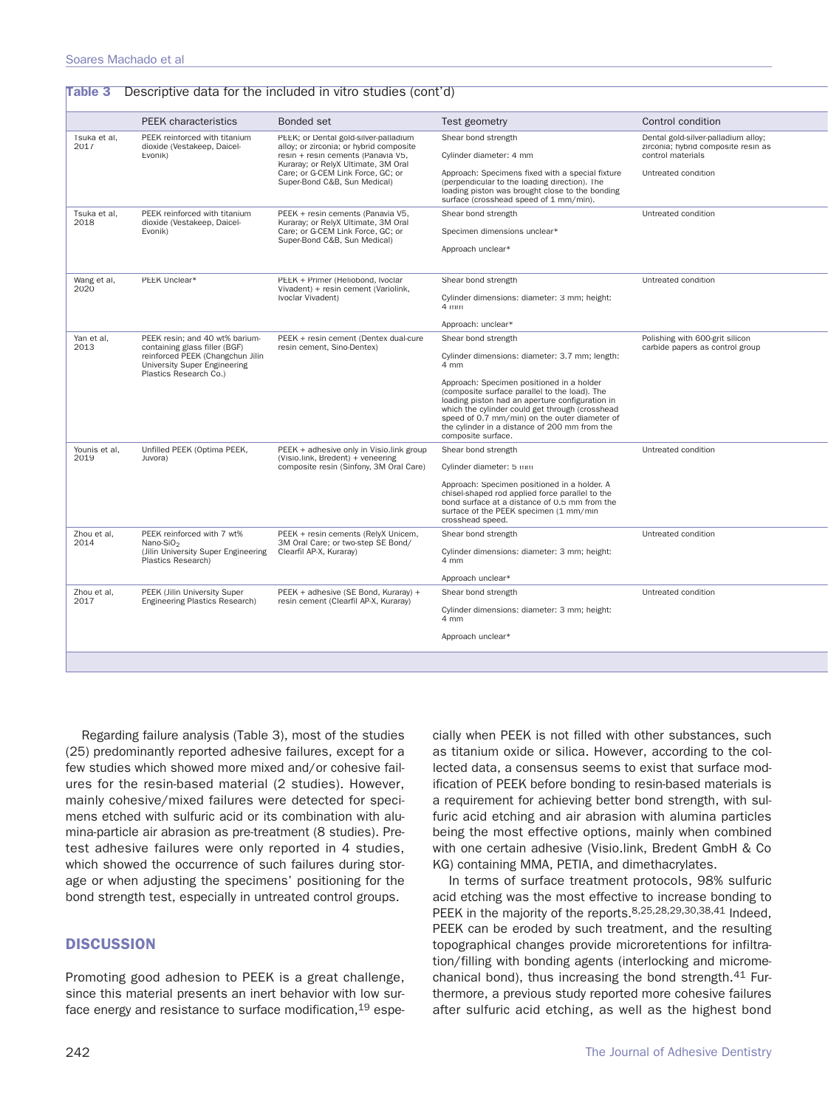|                       | <b>PEEK</b> characteristics                                                                                                                                   | Bonded set                                                                                                             | Test geometry                                                                                                                                                                                                                                                                                                            | Control condition                                                                               |
|-----------------------|---------------------------------------------------------------------------------------------------------------------------------------------------------------|------------------------------------------------------------------------------------------------------------------------|--------------------------------------------------------------------------------------------------------------------------------------------------------------------------------------------------------------------------------------------------------------------------------------------------------------------------|-------------------------------------------------------------------------------------------------|
| Tsuka et al,<br>2017  | PEEK reinforced with titanium<br>dioxide (Vestakeep, Daicel-<br>Evonik)                                                                                       | PEEK; or Dental gold-silver-palladium<br>alloy; or zirconia; or hybrid composite<br>resin + resin cements (Panavia V5, | Shear bond strength<br>Cylinder diameter: 4 mm                                                                                                                                                                                                                                                                           | Dental gold-silver-palladium alloy;<br>zirconia; hybrid composite resin as<br>control materials |
|                       |                                                                                                                                                               | Kuraray; or RelyX Ultimate, 3M Oral<br>Care; or G-CEM Link Force, GC; or<br>Super-Bond C&B, Sun Medical)               | Approach: Specimens fixed with a special fixture<br>(perpendicular to the loading direction). The<br>loading piston was brought close to the bonding<br>surface (crosshead speed of 1 mm/min).                                                                                                                           | Untreated condition                                                                             |
| Tsuka et al,<br>2018  | PEEK reinforced with titanium<br>dioxide (Vestakeep, Daicel-                                                                                                  | PEEK + resin cements (Panavia V5,<br>Kuraray; or RelyX Ultimate, 3M Oral                                               | Shear bond strength                                                                                                                                                                                                                                                                                                      | Untreated condition                                                                             |
|                       | Evonik)                                                                                                                                                       | Care; or G-CEM Link Force, GC; or                                                                                      | Specimen dimensions unclear*                                                                                                                                                                                                                                                                                             |                                                                                                 |
|                       |                                                                                                                                                               | Super-Bond C&B, Sun Medical)                                                                                           | Approach unclear*                                                                                                                                                                                                                                                                                                        |                                                                                                 |
| Wang et al,<br>2020   | PEEK Unclear*                                                                                                                                                 | PEEK + Primer (Heliobond, Ivoclar                                                                                      | Shear bond strength                                                                                                                                                                                                                                                                                                      | Untreated condition                                                                             |
|                       | Vivadent) + resin cement (Variolink,<br>Ivoclar Vivadent)                                                                                                     |                                                                                                                        | Cylinder dimensions: diameter: 3 mm; height:<br>4 mm                                                                                                                                                                                                                                                                     |                                                                                                 |
|                       |                                                                                                                                                               |                                                                                                                        | Approach: unclear*                                                                                                                                                                                                                                                                                                       |                                                                                                 |
| Yan et al,<br>2013    | PEEK resin: and 40 wt% barium-<br>containing glass filler (BGF)<br>reinforced PEEK (Changchun Jilin<br>University Super Engineering<br>Plastics Research Co.) | PEEK + resin cement (Dentex dual-cure<br>resin cement, Sino-Dentex)                                                    | Shear bond strength                                                                                                                                                                                                                                                                                                      | Polishing with 600-grit silicon<br>carbide papers as control group                              |
|                       |                                                                                                                                                               |                                                                                                                        | Cylinder dimensions: diameter: 3.7 mm; length:<br>4 mm                                                                                                                                                                                                                                                                   |                                                                                                 |
|                       |                                                                                                                                                               |                                                                                                                        | Approach: Specimen positioned in a holder<br>(composite surface parallel to the load). The<br>loading piston had an aperture configuration in<br>which the cylinder could get through (crosshead<br>speed of 0.7 mm/min) on the outer diameter of<br>the cylinder in a distance of 200 mm from the<br>composite surface. |                                                                                                 |
| Younis et al,<br>2019 | Unfilled PEEK (Optima PEEK,                                                                                                                                   | PEEK + adhesive only in Visio.link group                                                                               | Shear bond strength                                                                                                                                                                                                                                                                                                      | Untreated condition                                                                             |
|                       | Juvora)                                                                                                                                                       | (Visio.link, Bredent) + veneering<br>composite resin (Sinfony, 3M Oral Care)                                           | Cylinder diameter: 5 mm                                                                                                                                                                                                                                                                                                  |                                                                                                 |
|                       |                                                                                                                                                               |                                                                                                                        | Approach: Specimen positioned in a holder. A<br>chisel-shaped rod applied force parallel to the<br>bond surface at a distance of 0.5 mm from the<br>surface of the PEEK specimen (1 mm/min<br>crosshead speed.                                                                                                           |                                                                                                 |
| Zhou et al,<br>2014   | PEEK reinforced with 7 wt%<br>Nano-SiO <sub>2</sub>                                                                                                           | PEEK + resin cements (RelyX Unicem,<br>3M Oral Care; or two-step SE Bond/                                              | Shear bond strength                                                                                                                                                                                                                                                                                                      | Untreated condition                                                                             |
|                       | (Jilin University Super Engineering<br>Plastics Research)                                                                                                     | Clearfil AP-X, Kuraray)                                                                                                | Cylinder dimensions: diameter: 3 mm; height:<br>4 mm                                                                                                                                                                                                                                                                     |                                                                                                 |
|                       |                                                                                                                                                               |                                                                                                                        | Approach unclear*                                                                                                                                                                                                                                                                                                        |                                                                                                 |
| Zhou et al,<br>2017   | <b>PEEK (Jilin University Super</b><br>Engineering Plastics Research)                                                                                         | PEEK + adhesive (SE Bond, Kuraray) +                                                                                   | Shear bond strength                                                                                                                                                                                                                                                                                                      | Untreated condition                                                                             |
|                       |                                                                                                                                                               | resin cement (Clearfil AP-X, Kuraray)                                                                                  | Cylinder dimensions: diameter: 3 mm; height:<br>4 mm                                                                                                                                                                                                                                                                     |                                                                                                 |
|                       |                                                                                                                                                               |                                                                                                                        | Approach unclear*                                                                                                                                                                                                                                                                                                        |                                                                                                 |

Regarding failure analysis (Table 3), most of the studies (25) predominantly reported adhesive failures, except for a few studies which showed more mixed and/or cohesive failures for the resin-based material (2 studies). However, mainly cohesive/mixed failures were detected for specimens etched with sulfuric acid or its combination with alumina-particle air abrasion as pre-treatment (8 studies). Pretest adhesive failures were only reported in 4 studies, which showed the occurrence of such failures during storage or when adjusting the specimens' positioning for the bond strength test, especially in untreated control groups.

# **DISCUSSION**

Promoting good adhesion to PEEK is a great challenge, since this material presents an inert behavior with low surface energy and resistance to surface modification, <sup>19</sup> especially when PEEK is not filled with other substances, such as titanium oxide or silica. However, according to the collected data, a consensus seems to exist that surface modification of PEEK before bonding to resin-based materials is a requirement for achieving better bond strength, with sulfuric acid etching and air abrasion with alumina particles being the most effective options, mainly when combined with one certain adhesive (Visio.link, Bredent GmbH & Co KG) containing MMA, PETIA, and dimethacrylates.

In terms of surface treatment protocols, 98% sulfuric acid etching was the most effective to increase bonding to PEEK in the majority of the reports.8,25,28,29,30,38,41 Indeed, PEEK can be eroded by such treatment, and the resulting topographical changes provide microretentions for infiltration/filling with bonding agents (interlocking and micromechanical bond), thus increasing the bond strength.41 Furthermore, a previous study reported more cohesive failures after sulfuric acid etching, as well as the highest bond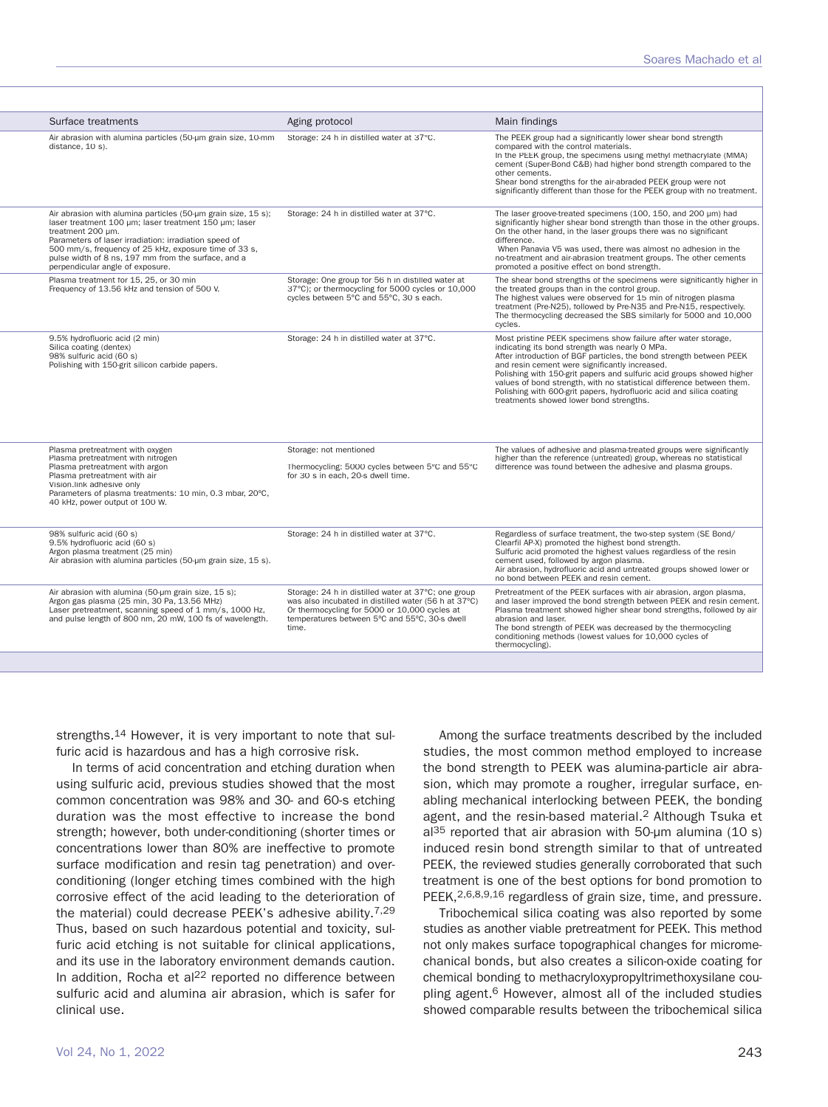| Surface treatments                                                                                                                                                                                                                                                                                                                                       | Aging protocol                                                                                                                                                                                                         | Main findings                                                                                                                                                                                                                                                                                                                                                                                                                                                                                                  |
|----------------------------------------------------------------------------------------------------------------------------------------------------------------------------------------------------------------------------------------------------------------------------------------------------------------------------------------------------------|------------------------------------------------------------------------------------------------------------------------------------------------------------------------------------------------------------------------|----------------------------------------------------------------------------------------------------------------------------------------------------------------------------------------------------------------------------------------------------------------------------------------------------------------------------------------------------------------------------------------------------------------------------------------------------------------------------------------------------------------|
| Air abrasion with alumina particles (50-um grain size, 10-mm<br>distance, 10 s).                                                                                                                                                                                                                                                                         | Storage: 24 h in distilled water at 37°C.                                                                                                                                                                              | The PEEK group had a significantly lower shear bond strength<br>compared with the control materials.<br>In the PEEK group, the specimens using methyl methacrylate (MMA)<br>cement (Super-Bond C&B) had higher bond strength compared to the<br>other cements.<br>Shear bond strengths for the air-abraded PEEK group were not<br>significantly different than those for the PEEK group with no treatment.                                                                                                     |
| Air abrasion with alumina particles (50-um grain size, 15 s);<br>laser treatment 100 µm; laser treatment 150 µm; laser<br>treatment 200 um.<br>Parameters of laser irradiation: irradiation speed of<br>500 mm/s, frequency of 25 kHz, exposure time of 33 s,<br>pulse width of 8 ns, 197 mm from the surface, and a<br>perpendicular angle of exposure. | Storage: 24 h in distilled water at 37°C.                                                                                                                                                                              | The laser groove-treated specimens (100, 150, and 200 µm) had<br>significantly higher shear bond strength than those in the other groups.<br>On the other hand, in the laser groups there was no significant<br>difference.<br>When Panavia V5 was used, there was almost no adhesion in the<br>no-treatment and air-abrasion treatment groups. The other cements<br>promoted a positive effect on bond strength.                                                                                              |
| Plasma treatment for 15, 25, or 30 min<br>Frequency of 13.56 kHz and tension of 500 V.                                                                                                                                                                                                                                                                   | Storage: One group for 56 h in distilled water at<br>37°C); or thermocycling for 5000 cycles or 10,000<br>cycles between 5°C and 55°C, 30 s each.                                                                      | The shear bond strengths of the specimens were significantly higher in<br>the treated groups than in the control group.<br>The highest values were observed for 15 min of nitrogen plasma<br>treatment (Pre-N25), followed by Pre-N35 and Pre-N15, respectively.<br>The thermocycling decreased the SBS similarly for 5000 and 10,000<br>cycles.                                                                                                                                                               |
| 9.5% hydrofluoric acid (2 min)<br>Silica coating (dentex)<br>98% sulfuric acid (60 s)<br>Polishing with 150-grit silicon carbide papers.                                                                                                                                                                                                                 | Storage: 24 h in distilled water at 37°C.                                                                                                                                                                              | Most pristine PEEK specimens show failure after water storage,<br>indicating its bond strength was nearly 0 MPa.<br>After introduction of BGF particles, the bond strength between PEEK<br>and resin cement were significantly increased.<br>Polishing with 150-grit papers and sulfuric acid groups showed higher<br>values of bond strength, with no statistical difference between them.<br>Polishing with 600-grit papers, hydrofluoric acid and silica coating<br>treatments showed lower bond strengths. |
| Plasma pretreatment with oxygen<br>Plasma pretreatment with nitrogen<br>Plasma pretreatment with argon<br>Plasma pretreatment with air<br>Vision.link adhesive only<br>Parameters of plasma treatments: 10 min, 0.3 mbar, 20°C,<br>40 kHz, power output of 100 W.                                                                                        | Storage: not mentioned<br>Thermocycling: 5000 cycles between 5°C and 55°C<br>for 30 s in each, 20-s dwell time.                                                                                                        | The values of adhesive and plasma-treated groups were significantly<br>higher than the reference (untreated) group, whereas no statistical<br>difference was found between the adhesive and plasma groups.                                                                                                                                                                                                                                                                                                     |
| 98% sulfuric acid (60 s)<br>9.5% hydrofluoric acid (60 s)<br>Argon plasma treatment (25 min)<br>Air abrasion with alumina particles (50-um grain size, 15 s).                                                                                                                                                                                            | Storage: 24 h in distilled water at 37°C.                                                                                                                                                                              | Regardless of surface treatment, the two-step system (SE Bond/<br>Clearfil AP-X) promoted the highest bond strength.<br>Sulfuric acid promoted the highest values regardless of the resin<br>cement used, followed by argon plasma.<br>Air abrasion, hydrofluoric acid and untreated groups showed lower or<br>no bond between PEEK and resin cement.                                                                                                                                                          |
| Air abrasion with alumina (50-um grain size, 15 s);<br>Argon gas plasma (25 min, 30 Pa, 13.56 MHz)<br>Laser pretreatment, scanning speed of 1 mm/s, 1000 Hz,<br>and pulse length of 800 nm, 20 mW, 100 fs of wavelength.                                                                                                                                 | Storage: 24 h in distilled water at 37°C; one group<br>was also incubated in distilled water (56 h at 37°C)<br>Or thermocycling for 5000 or 10,000 cycles at<br>temperatures between 5°C and 55°C, 30-s dwell<br>time. | Pretreatment of the PEEK surfaces with air abrasion, argon plasma,<br>and laser improved the bond strength between PEEK and resin cement.<br>Plasma treatment showed higher shear bond strengths, followed by air<br>abrasion and laser.<br>The bond strength of PEEK was decreased by the thermocycling<br>conditioning methods (lowest values for 10,000 cycles of<br>thermocycling).                                                                                                                        |

strengths.14 However, it is very important to note that sulfuric acid is hazardous and has a high corrosive risk.

In terms of acid concentration and etching duration when using sulfuric acid, previous studies showed that the most common concentration was 98% and 30- and 60-s etching duration was the most effective to increase the bond strength; however, both under-conditioning (shorter times or concentrations lower than 80% are ineffective to promote surface modification and resin tag penetration) and overconditioning (longer etching times combined with the high corrosive effect of the acid leading to the deterioration of the material) could decrease PEEK's adhesive ability.<sup>7,29</sup> Thus, based on such hazardous potential and toxicity, sulfuric acid etching is not suitable for clinical applications, and its use in the laboratory environment demands caution. In addition, Rocha et al<sup>22</sup> reported no difference between sulfuric acid and alumina air abrasion, which is safer for clinical use.

Among the surface treatments described by the included studies, the most common method employed to increase the bond strength to PEEK was alumina-particle air abrasion, which may promote a rougher, irregular surface, enabling mechanical interlocking between PEEK, the bonding agent, and the resin-based material.2 Although Tsuka et al<sup>35</sup> reported that air abrasion with 50-μm alumina (10 s) induced resin bond strength similar to that of untreated PEEK, the reviewed studies generally corroborated that such treatment is one of the best options for bond promotion to PEEK, 2,6,8,9,16 regardless of grain size, time, and pressure.

Tribochemical silica coating was also reported by some studies as another viable pretreatment for PEEK. This method not only makes surface topographical changes for micromechanical bonds, but also creates a silicon-oxide coating for chemical bonding to methacryloxypropyltrimethoxysilane coupling agent.6 However, almost all of the included studies showed comparable results between the tribochemical silica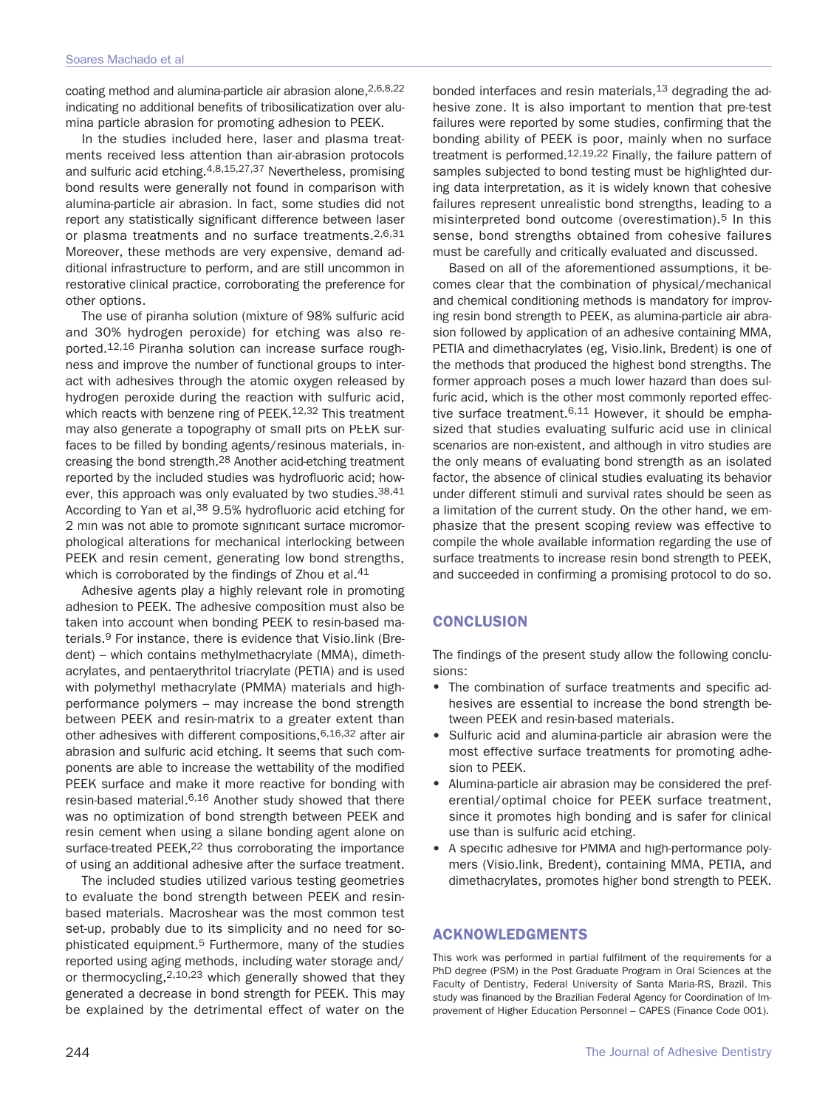coating method and alumina-particle air abrasion alone, 2,6,8,22 indicating no additional benefits of tribosilicatization over alumina particle abrasion for promoting adhesion to PEEK.

In the studies included here, laser and plasma treatments received less attention than air-abrasion protocols and sulfuric acid etching.4,8,15,27,37 Nevertheless, promising bond results were generally not found in comparison with alumina-particle air abrasion. In fact, some studies did not report any statistically significant difference between laser or plasma treatments and no surface treatments.<sup>2,6,31</sup> Moreover, these methods are very expensive, demand additional infrastructure to perform, and are still uncommon in restorative clinical practice, corroborating the preference for other options.

The use of piranha solution (mixture of 98% sulfuric acid and 30% hydrogen peroxide) for etching was also reported.12,16 Piranha solution can increase surface roughness and improve the number of functional groups to interact with adhesives through the atomic oxygen released by hydrogen peroxide during the reaction with sulfuric acid, which reacts with benzene ring of PEEK.<sup>12,32</sup> This treatment may also generate a topography of small pits on PEEK surfaces to be filled by bonding agents/resinous materials, increasing the bond strength.28 Another acid-etching treatment reported by the included studies was hydrofluoric acid; however, this approach was only evaluated by two studies.<sup>38,41</sup> According to Yan et al, 38 9.5% hydrofluoric acid etching for 2 min was not able to promote significant surface micromorphological alterations for mechanical interlocking between PEEK and resin cement, generating low bond strengths, which is corroborated by the findings of Zhou et al.<sup>41</sup>

Adhesive agents play a highly relevant role in promoting adhesion to PEEK. The adhesive composition must also be taken into account when bonding PEEK to resin-based materials.<sup>9</sup> For instance, there is evidence that Visio.link (Bredent) – which contains methylmethacrylate (MMA), dimethacrylates, and pentaerythritol triacrylate (PETIA) and is used with polymethyl methacrylate (PMMA) materials and highperformance polymers – may increase the bond strength between PEEK and resin-matrix to a greater extent than other adhesives with different compositions, 6,16,32 after air abrasion and sulfuric acid etching. It seems that such components are able to increase the wettability of the modified PEEK surface and make it more reactive for bonding with resin-based material.<sup>6,16</sup> Another study showed that there was no optimization of bond strength between PEEK and resin cement when using a silane bonding agent alone on surface-treated PEEK,<sup>22</sup> thus corroborating the importance of using an additional adhesive after the surface treatment.

The included studies utilized various testing geometries to evaluate the bond strength between PEEK and resinbased materials. Macroshear was the most common test set-up, probably due to its simplicity and no need for sophisticated equipment.5 Furthermore, many of the studies reported using aging methods, including water storage and/ or thermocycling,2,10,23 which generally showed that they generated a decrease in bond strength for PEEK. This may be explained by the detrimental effect of water on the

bonded interfaces and resin materials, $13$  degrading the adhesive zone. It is also important to mention that pre-test failures were reported by some studies, confirming that the bonding ability of PEEK is poor, mainly when no surface treatment is performed.<sup>12,19,22</sup> Finally, the failure pattern of samples subjected to bond testing must be highlighted during data interpretation, as it is widely known that cohesive failures represent unrealistic bond strengths, leading to a misinterpreted bond outcome (overestimation).5 In this sense, bond strengths obtained from cohesive failures must be carefully and critically evaluated and discussed.

Based on all of the aforementioned assumptions, it becomes clear that the combination of physical/mechanical and chemical conditioning methods is mandatory for improving resin bond strength to PEEK, as alumina-particle air abrasion followed by application of an adhesive containing MMA, PETIA and dimethacrylates (eg, Visio.link, Bredent) is one of the methods that produced the highest bond strengths. The former approach poses a much lower hazard than does sulfuric acid, which is the other most commonly reported effective surface treatment.  $6,11$  However, it should be emphasized that studies evaluating sulfuric acid use in clinical scenarios are non-existent, and although in vitro studies are the only means of evaluating bond strength as an isolated factor, the absence of clinical studies evaluating its behavior under different stimuli and survival rates should be seen as a limitation of the current study. On the other hand, we emphasize that the present scoping review was effective to compile the whole available information regarding the use of surface treatments to increase resin bond strength to PEEK, and succeeded in confirming a promising protocol to do so.

# **CONCLUSION**

The findings of the present study allow the following conclusions:

- The combination of surface treatments and specific adhesives are essential to increase the bond strength between PEEK and resin-based materials.
- Sulfuric acid and alumina-particle air abrasion were the most effective surface treatments for promoting adhesion to PEEK.
- Alumina-particle air abrasion may be considered the preferential/optimal choice for PEEK surface treatment, since it promotes high bonding and is safer for clinical use than is sulfuric acid etching.
- A specific adhesive for PMMA and high-performance polymers (Visio.link, Bredent), containing MMA, PETIA, and dimethacrylates, promotes higher bond strength to PEEK.

## **ACKNOWLEDGMENTS**

This work was performed in partial fulfilment of the requirements for a PhD degree (PSM) in the Post Graduate Program in Oral Sciences at the Faculty of Dentistry, Federal University of Santa Maria-RS, Brazil. This study was financed by the Brazilian Federal Agency for Coordination of Improvement of Higher Education Personnel – CAPES (Finance Code 001).